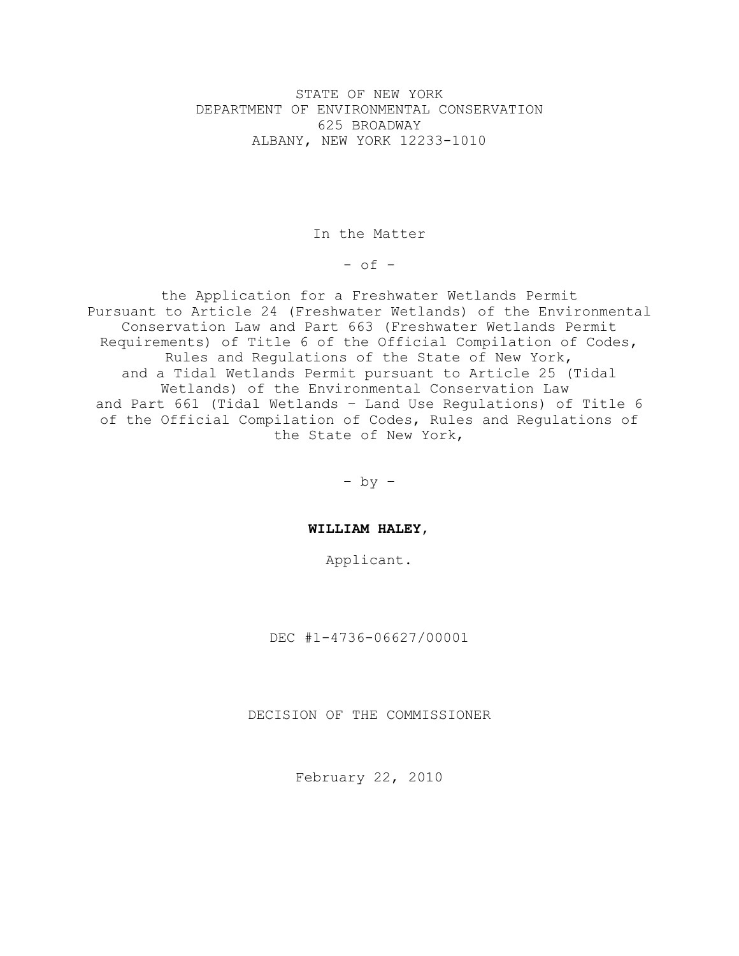STATE OF NEW YORK DEPARTMENT OF ENVIRONMENTAL CONSERVATION 625 BROADWAY ALBANY, NEW YORK 12233-1010

In the Matter

 $-$  of  $-$ 

the Application for a Freshwater Wetlands Permit Pursuant to Article 24 (Freshwater Wetlands) of the Environmental Conservation Law and Part 663 (Freshwater Wetlands Permit Requirements) of Title 6 of the Official Compilation of Codes, Rules and Regulations of the State of New York, and a Tidal Wetlands Permit pursuant to Article 25 (Tidal Wetlands) of the Environmental Conservation Law and Part 661 (Tidal Wetlands – Land Use Regulations) of Title 6 of the Official Compilation of Codes, Rules and Regulations of the State of New York,

– by –

**WILLIAM HALEY**,

Applicant.

DEC #1-4736-06627/00001

DECISION OF THE COMMISSIONER

February 22, 2010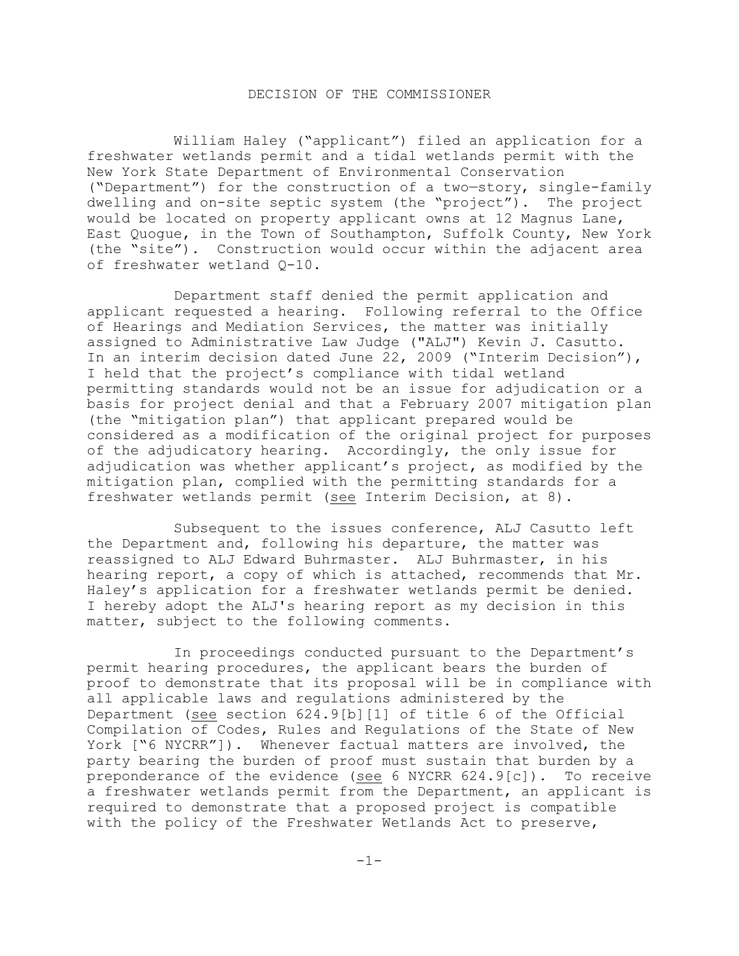# DECISION OF THE COMMISSIONER

William Haley ("applicant") filed an application for a freshwater wetlands permit and a tidal wetlands permit with the New York State Department of Environmental Conservation ("Department") for the construction of a two—story, single-family dwelling and on-site septic system (the "project"). The project would be located on property applicant owns at 12 Magnus Lane, East Quogue, in the Town of Southampton, Suffolk County, New York (the "site"). Construction would occur within the adjacent area of freshwater wetland Q-10.

Department staff denied the permit application and applicant requested a hearing. Following referral to the Office of Hearings and Mediation Services, the matter was initially assigned to Administrative Law Judge ("ALJ") Kevin J. Casutto. In an interim decision dated June 22, 2009 ("Interim Decision"), I held that the project's compliance with tidal wetland permitting standards would not be an issue for adjudication or a basis for project denial and that a February 2007 mitigation plan (the "mitigation plan") that applicant prepared would be considered as a modification of the original project for purposes of the adjudicatory hearing. Accordingly, the only issue for adjudication was whether applicant's project, as modified by the mitigation plan, complied with the permitting standards for a freshwater wetlands permit (see Interim Decision, at 8).

Subsequent to the issues conference, ALJ Casutto left the Department and, following his departure, the matter was reassigned to ALJ Edward Buhrmaster. ALJ Buhrmaster, in his hearing report, a copy of which is attached, recommends that Mr. Haley's application for a freshwater wetlands permit be denied. I hereby adopt the ALJ's hearing report as my decision in this matter, subject to the following comments.

In proceedings conducted pursuant to the Department's permit hearing procedures, the applicant bears the burden of proof to demonstrate that its proposal will be in compliance with all applicable laws and regulations administered by the Department (see section 624.9[b][1] of title 6 of the Official Compilation of Codes, Rules and Regulations of the State of New York ["6 NYCRR"]). Whenever factual matters are involved, the party bearing the burden of proof must sustain that burden by a preponderance of the evidence (see 6 NYCRR 624.9[c]). To receive a freshwater wetlands permit from the Department, an applicant is required to demonstrate that a proposed project is compatible with the policy of the Freshwater Wetlands Act to preserve,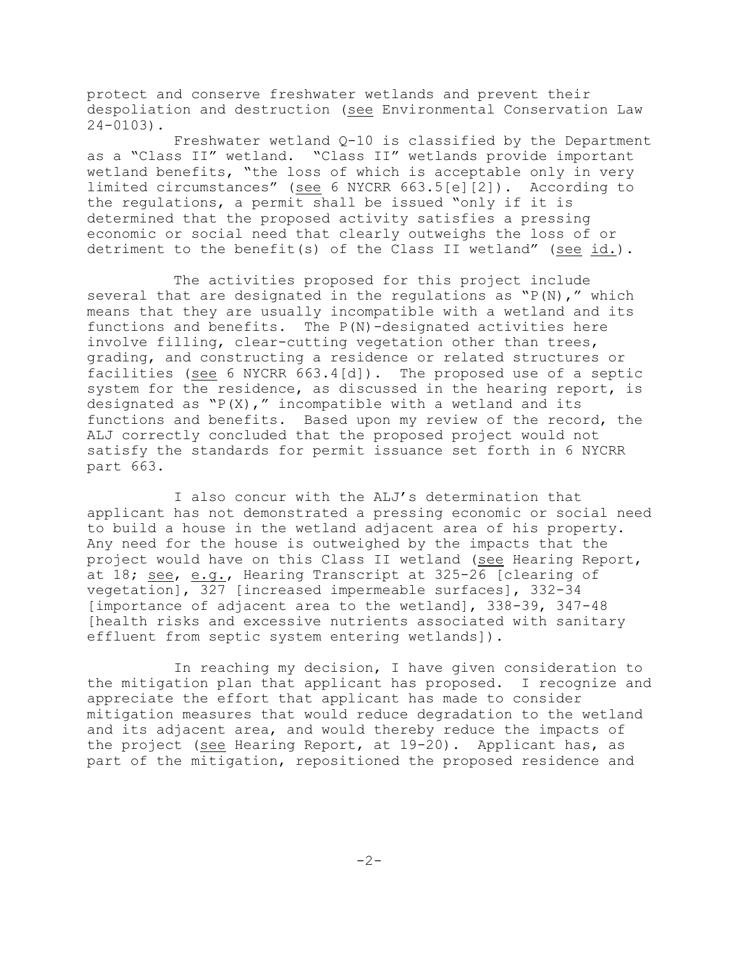protect and conserve freshwater wetlands and prevent their despoliation and destruction (see Environmental Conservation Law 24-0103).

Freshwater wetland Q-10 is classified by the Department as a "Class II" wetland. "Class II" wetlands provide important wetland benefits, "the loss of which is acceptable only in very limited circumstances" (see 6 NYCRR 663.5[e][2]). According to the regulations, a permit shall be issued "only if it is determined that the proposed activity satisfies a pressing economic or social need that clearly outweighs the loss of or detriment to the benefit(s) of the Class II wetland" (see id.).

The activities proposed for this project include several that are designated in the regulations as  $``P(N)$ ," which means that they are usually incompatible with a wetland and its functions and benefits. The P(N)-designated activities here involve filling, clear-cutting vegetation other than trees, grading, and constructing a residence or related structures or facilities (see 6 NYCRR 663.4[d]). The proposed use of a septic system for the residence, as discussed in the hearing report, is designated as  $``P(X)$ ," incompatible with a wetland and its functions and benefits. Based upon my review of the record, the ALJ correctly concluded that the proposed project would not satisfy the standards for permit issuance set forth in 6 NYCRR part 663.

I also concur with the ALJ's determination that applicant has not demonstrated a pressing economic or social need to build a house in the wetland adjacent area of his property. Any need for the house is outweighed by the impacts that the project would have on this Class II wetland (see Hearing Report, at 18; see, e.g., Hearing Transcript at 325-26 [clearing of vegetation], 327 [increased impermeable surfaces], 332-34 [importance of adjacent area to the wetland], 338-39, 347-48 [health risks and excessive nutrients associated with sanitary effluent from septic system entering wetlands]).

In reaching my decision, I have given consideration to the mitigation plan that applicant has proposed. I recognize and appreciate the effort that applicant has made to consider mitigation measures that would reduce degradation to the wetland and its adjacent area, and would thereby reduce the impacts of the project (see Hearing Report, at 19-20). Applicant has, as part of the mitigation, repositioned the proposed residence and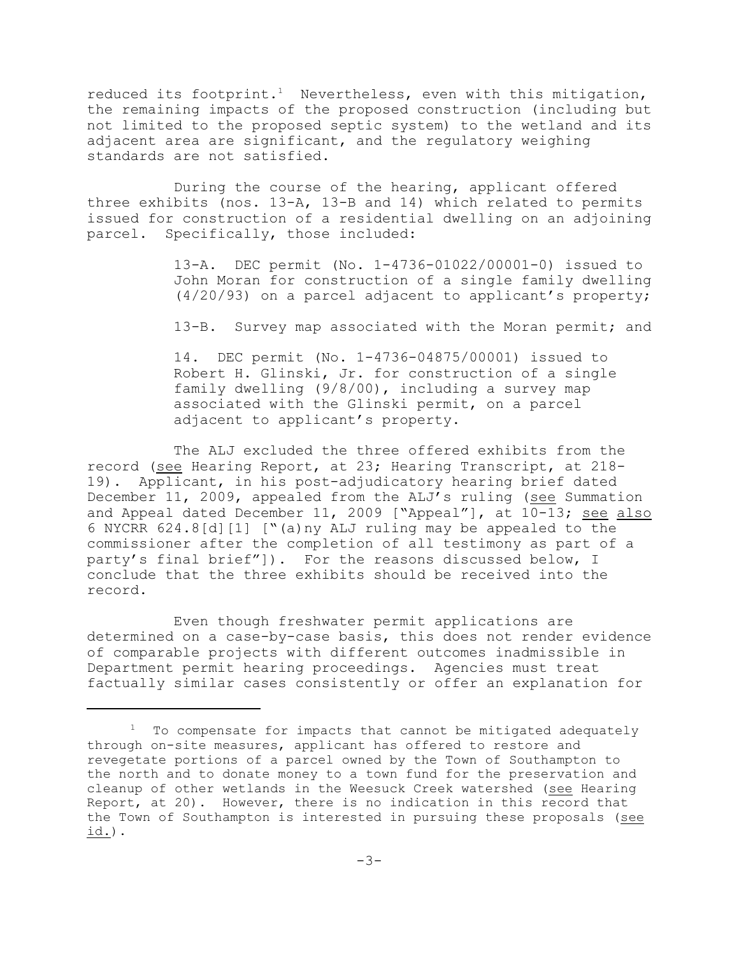reduced its footprint.<sup>1</sup> Nevertheless, even with this mitigation, the remaining impacts of the proposed construction (including but not limited to the proposed septic system) to the wetland and its adjacent area are significant, and the regulatory weighing standards are not satisfied.

During the course of the hearing, applicant offered three exhibits (nos. 13-A, 13-B and 14) which related to permits issued for construction of a residential dwelling on an adjoining parcel. Specifically, those included:

> 13-A. DEC permit (No. 1-4736-01022/00001-0) issued to John Moran for construction of a single family dwelling (4/20/93) on a parcel adjacent to applicant's property;

> 13-B. Survey map associated with the Moran permit; and

14. DEC permit (No. 1-4736-04875/00001) issued to Robert H. Glinski, Jr. for construction of a single family dwelling (9/8/00), including a survey map associated with the Glinski permit, on a parcel adjacent to applicant's property.

The ALJ excluded the three offered exhibits from the record (see Hearing Report, at 23; Hearing Transcript, at 218- 19). Applicant, in his post-adjudicatory hearing brief dated December 11, 2009, appealed from the ALJ's ruling (see Summation and Appeal dated December 11, 2009 ["Appeal"], at 10-13; see also 6 NYCRR 624.8[d][1] ["(a)ny ALJ ruling may be appealed to the commissioner after the completion of all testimony as part of a party's final brief"]). For the reasons discussed below, I conclude that the three exhibits should be received into the record.

Even though freshwater permit applications are determined on a case-by-case basis, this does not render evidence of comparable projects with different outcomes inadmissible in Department permit hearing proceedings. Agencies must treat factually similar cases consistently or offer an explanation for

 $1$  To compensate for impacts that cannot be mitigated adequately through on-site measures, applicant has offered to restore and revegetate portions of a parcel owned by the Town of Southampton to the north and to donate money to a town fund for the preservation and cleanup of other wetlands in the Weesuck Creek watershed (see Hearing Report, at 20). However, there is no indication in this record that the Town of Southampton is interested in pursuing these proposals (see id.).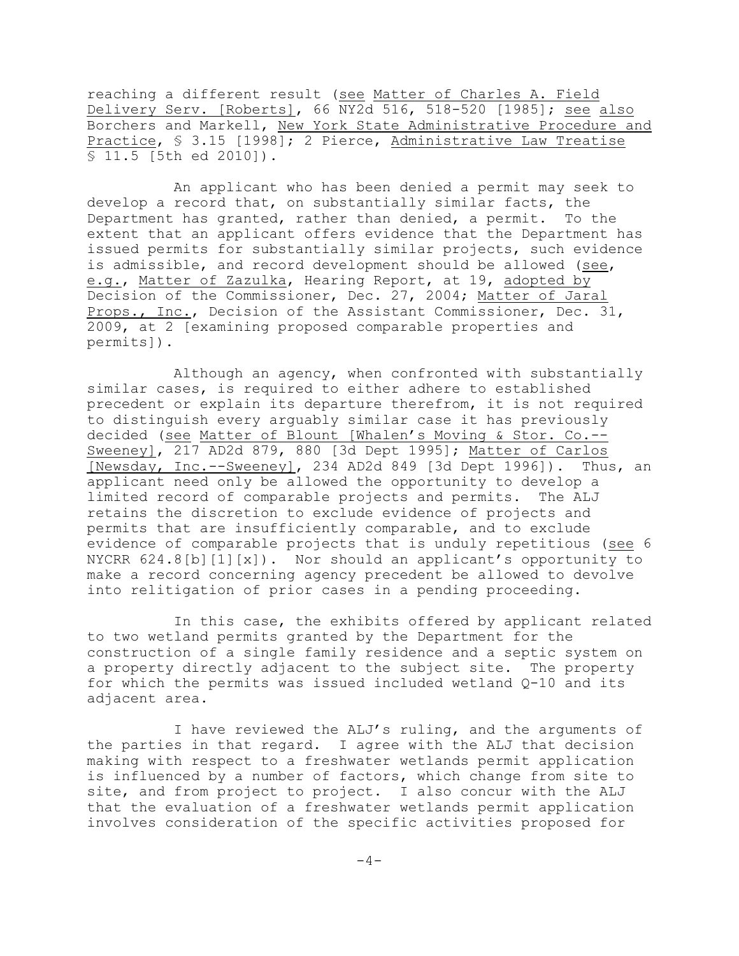reaching a different result (see Matter of Charles A. Field Delivery Serv. [Roberts], 66 NY2d 516, 518-520 [1985]; see also Borchers and Markell, New York State Administrative Procedure and Practice, § 3.15 [1998]; 2 Pierce, Administrative Law Treatise § 11.5 [5th ed 2010]).

An applicant who has been denied a permit may seek to develop a record that, on substantially similar facts, the Department has granted, rather than denied, a permit. To the extent that an applicant offers evidence that the Department has issued permits for substantially similar projects, such evidence is admissible, and record development should be allowed (see, e.g., Matter of Zazulka, Hearing Report, at 19, adopted by Decision of the Commissioner, Dec. 27, 2004; Matter of Jaral Props., Inc., Decision of the Assistant Commissioner, Dec. 31, 2009, at 2 [examining proposed comparable properties and permits]).

Although an agency, when confronted with substantially similar cases, is required to either adhere to established precedent or explain its departure therefrom, it is not required to distinguish every arguably similar case it has previously decided (see Matter of Blount [Whalen's Moving & Stor. Co.-- Sweeney], 217 AD2d 879, 880 [3d Dept 1995]; Matter of Carlos [Newsday, Inc.--Sweeney], 234 AD2d 849 [3d Dept 1996]). Thus, an applicant need only be allowed the opportunity to develop a limited record of comparable projects and permits. The ALJ retains the discretion to exclude evidence of projects and permits that are insufficiently comparable, and to exclude evidence of comparable projects that is unduly repetitious (see 6 NYCRR 624.8[b][1][x]). Nor should an applicant's opportunity to make a record concerning agency precedent be allowed to devolve into relitigation of prior cases in a pending proceeding.

In this case, the exhibits offered by applicant related to two wetland permits granted by the Department for the construction of a single family residence and a septic system on a property directly adjacent to the subject site. The property for which the permits was issued included wetland Q-10 and its adjacent area.

I have reviewed the ALJ's ruling, and the arguments of the parties in that regard. I agree with the ALJ that decision making with respect to a freshwater wetlands permit application is influenced by a number of factors, which change from site to site, and from project to project. I also concur with the ALJ that the evaluation of a freshwater wetlands permit application involves consideration of the specific activities proposed for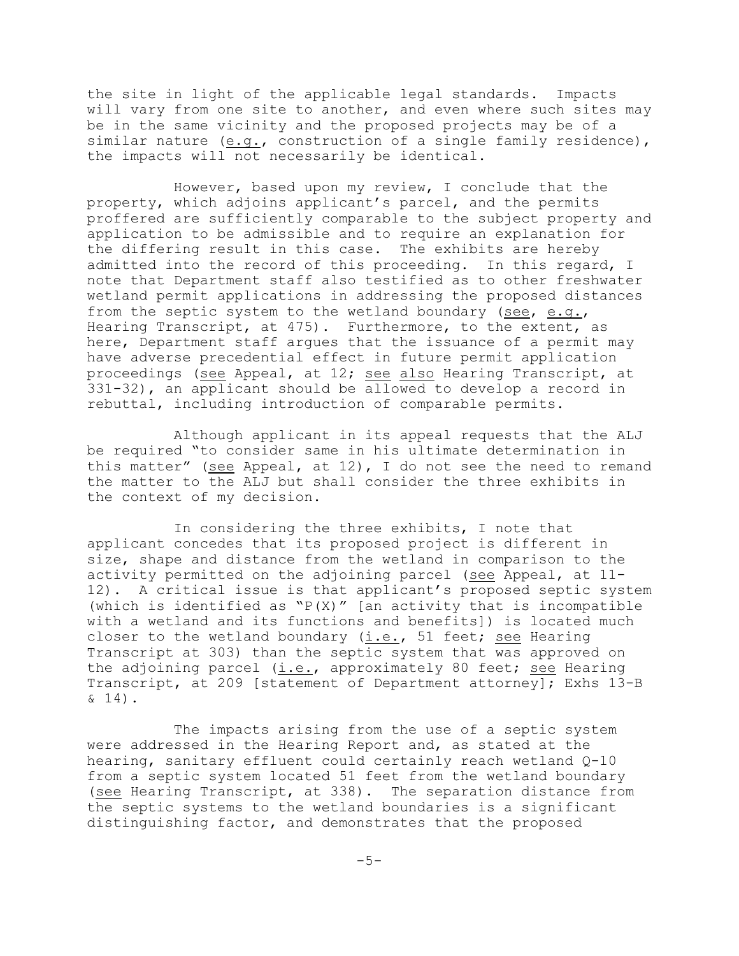the site in light of the applicable legal standards. Impacts will vary from one site to another, and even where such sites may be in the same vicinity and the proposed projects may be of a similar nature (e.g., construction of a single family residence), the impacts will not necessarily be identical.

However, based upon my review, I conclude that the property, which adjoins applicant's parcel, and the permits proffered are sufficiently comparable to the subject property and application to be admissible and to require an explanation for the differing result in this case. The exhibits are hereby admitted into the record of this proceeding. In this regard, I note that Department staff also testified as to other freshwater wetland permit applications in addressing the proposed distances from the septic system to the wetland boundary (see, e.g., Hearing Transcript, at 475). Furthermore, to the extent, as here, Department staff argues that the issuance of a permit may have adverse precedential effect in future permit application proceedings (see Appeal, at 12; see also Hearing Transcript, at 331-32), an applicant should be allowed to develop a record in rebuttal, including introduction of comparable permits.

Although applicant in its appeal requests that the ALJ be required "to consider same in his ultimate determination in this matter" (see Appeal, at 12), I do not see the need to remand the matter to the ALJ but shall consider the three exhibits in the context of my decision.

In considering the three exhibits, I note that applicant concedes that its proposed project is different in size, shape and distance from the wetland in comparison to the activity permitted on the adjoining parcel (see Appeal, at 11-12). A critical issue is that applicant's proposed septic system (which is identified as  $"P(X)$ " [an activity that is incompatible with a wetland and its functions and benefits]) is located much closer to the wetland boundary  $(i.e., 51 feet; see Hearing$ Transcript at 303) than the septic system that was approved on the adjoining parcel (i.e., approximately 80 feet; see Hearing Transcript, at 209 [statement of Department attorney]; Exhs 13-B & 14).

The impacts arising from the use of a septic system were addressed in the Hearing Report and, as stated at the hearing, sanitary effluent could certainly reach wetland Q-10 from a septic system located 51 feet from the wetland boundary (see Hearing Transcript, at 338). The separation distance from the septic systems to the wetland boundaries is a significant distinguishing factor, and demonstrates that the proposed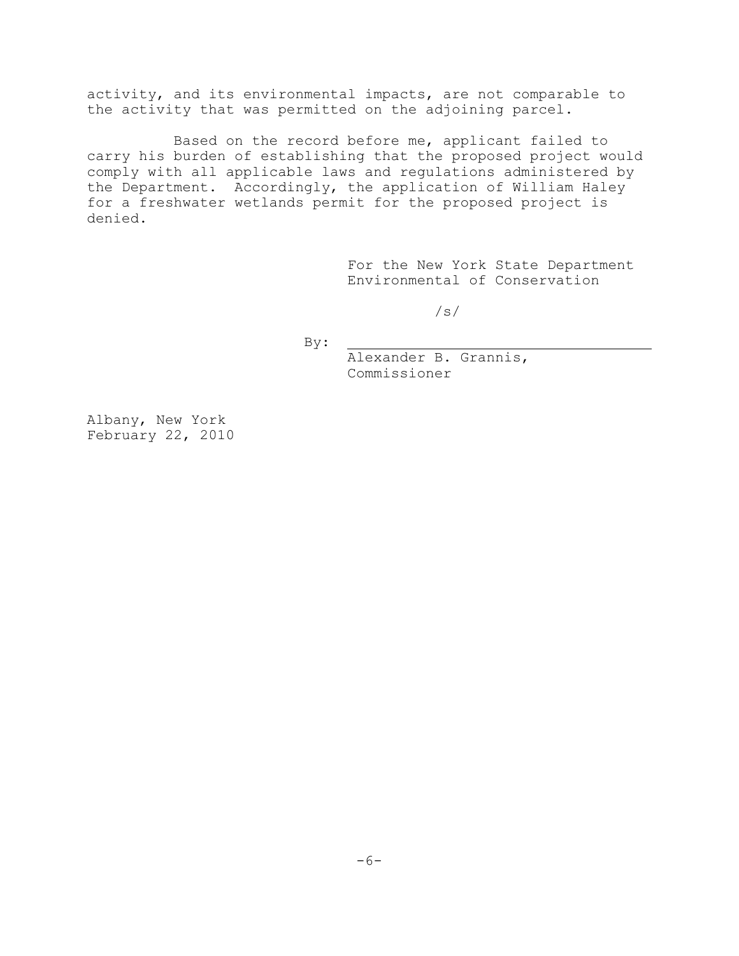activity, and its environmental impacts, are not comparable to the activity that was permitted on the adjoining parcel.

Based on the record before me, applicant failed to carry his burden of establishing that the proposed project would comply with all applicable laws and regulations administered by the Department. Accordingly, the application of William Haley for a freshwater wetlands permit for the proposed project is denied.

> For the New York State Department Environmental of Conservation

> > /s/

By:

Alexander B. Grannis, Commissioner

Albany, New York February 22, 2010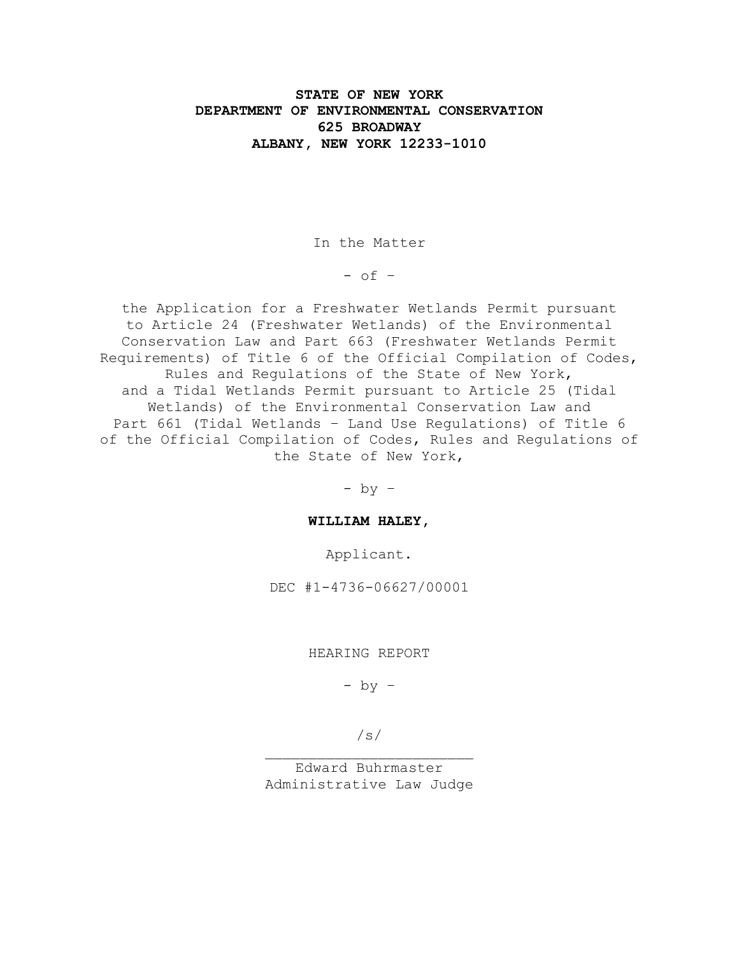# **STATE OF NEW YORK DEPARTMENT OF ENVIRONMENTAL CONSERVATION 625 BROADWAY ALBANY, NEW YORK 12233-1010**

In the Matter

 $-$  of  $-$ 

the Application for a Freshwater Wetlands Permit pursuant to Article 24 (Freshwater Wetlands) of the Environmental Conservation Law and Part 663 (Freshwater Wetlands Permit Requirements) of Title 6 of the Official Compilation of Codes, Rules and Regulations of the State of New York, and a Tidal Wetlands Permit pursuant to Article 25 (Tidal Wetlands) of the Environmental Conservation Law and Part 661 (Tidal Wetlands – Land Use Regulations) of Title 6 of the Official Compilation of Codes, Rules and Regulations of the State of New York,

 $-$  by  $-$ 

**WILLIAM HALEY,**

Applicant.

DEC #1-4736-06627/00001

HEARING REPORT

 $-$  by  $-$ 

/s/

Edward Buhrmaster Administrative Law Judge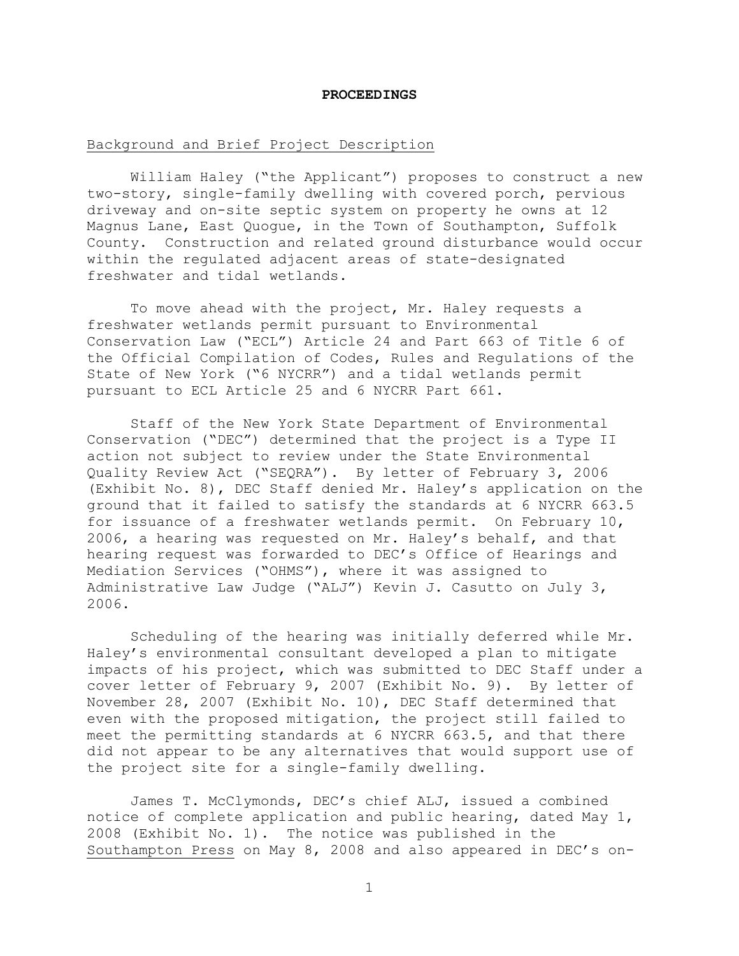#### **PROCEEDINGS**

## Background and Brief Project Description

William Haley ("the Applicant") proposes to construct a new two-story, single-family dwelling with covered porch, pervious driveway and on-site septic system on property he owns at 12 Magnus Lane, East Quogue, in the Town of Southampton, Suffolk County. Construction and related ground disturbance would occur within the regulated adjacent areas of state-designated freshwater and tidal wetlands.

To move ahead with the project, Mr. Haley requests a freshwater wetlands permit pursuant to Environmental Conservation Law ("ECL") Article 24 and Part 663 of Title 6 of the Official Compilation of Codes, Rules and Regulations of the State of New York ("6 NYCRR") and a tidal wetlands permit pursuant to ECL Article 25 and 6 NYCRR Part 661.

Staff of the New York State Department of Environmental Conservation ("DEC") determined that the project is a Type II action not subject to review under the State Environmental Quality Review Act ("SEQRA"). By letter of February 3, 2006 (Exhibit No. 8), DEC Staff denied Mr. Haley's application on the ground that it failed to satisfy the standards at 6 NYCRR 663.5 for issuance of a freshwater wetlands permit. On February 10, 2006, a hearing was requested on Mr. Haley's behalf, and that hearing request was forwarded to DEC's Office of Hearings and Mediation Services ("OHMS"), where it was assigned to Administrative Law Judge ("ALJ") Kevin J. Casutto on July 3, 2006.

Scheduling of the hearing was initially deferred while Mr. Haley's environmental consultant developed a plan to mitigate impacts of his project, which was submitted to DEC Staff under a cover letter of February 9, 2007 (Exhibit No. 9). By letter of November 28, 2007 (Exhibit No. 10), DEC Staff determined that even with the proposed mitigation, the project still failed to meet the permitting standards at 6 NYCRR 663.5, and that there did not appear to be any alternatives that would support use of the project site for a single-family dwelling.

James T. McClymonds, DEC's chief ALJ, issued a combined notice of complete application and public hearing, dated May 1, 2008 (Exhibit No. 1). The notice was published in the Southampton Press on May 8, 2008 and also appeared in DEC's on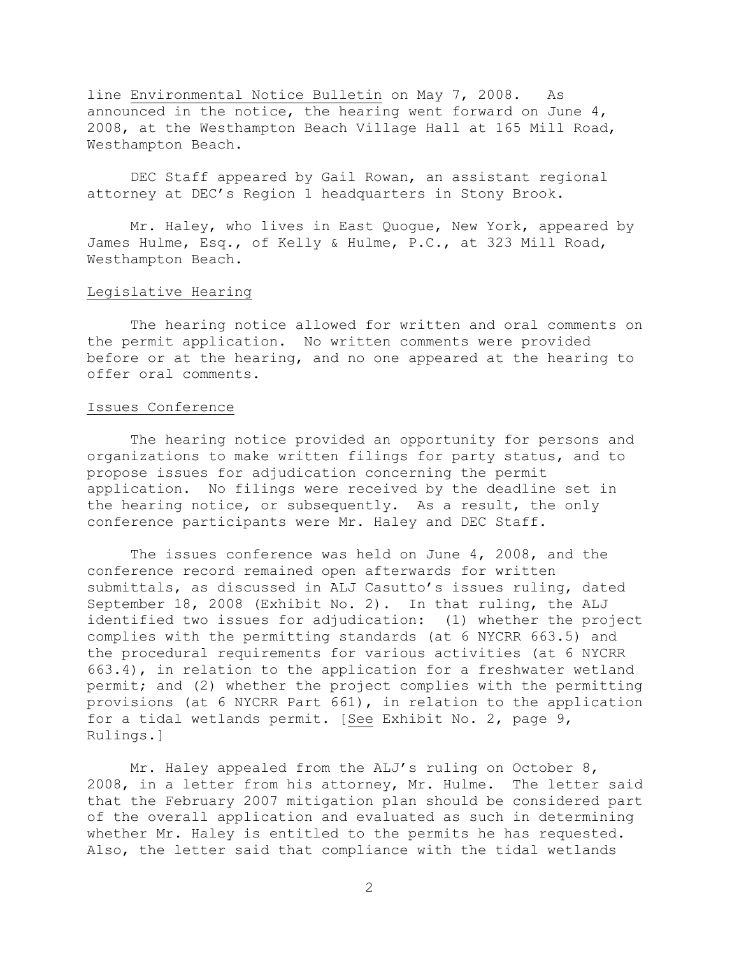line Environmental Notice Bulletin on May 7, 2008. As announced in the notice, the hearing went forward on June 4, 2008, at the Westhampton Beach Village Hall at 165 Mill Road, Westhampton Beach.

DEC Staff appeared by Gail Rowan, an assistant regional attorney at DEC's Region 1 headquarters in Stony Brook.

Mr. Haley, who lives in East Quogue, New York, appeared by James Hulme, Esq., of Kelly & Hulme, P.C., at 323 Mill Road, Westhampton Beach.

# Legislative Hearing

The hearing notice allowed for written and oral comments on the permit application. No written comments were provided before or at the hearing, and no one appeared at the hearing to offer oral comments.

# Issues Conference

The hearing notice provided an opportunity for persons and organizations to make written filings for party status, and to propose issues for adjudication concerning the permit application. No filings were received by the deadline set in the hearing notice, or subsequently. As a result, the only conference participants were Mr. Haley and DEC Staff.

The issues conference was held on June 4, 2008, and the conference record remained open afterwards for written submittals, as discussed in ALJ Casutto's issues ruling, dated September 18, 2008 (Exhibit No. 2). In that ruling, the ALJ identified two issues for adjudication: (1) whether the project complies with the permitting standards (at 6 NYCRR 663.5) and the procedural requirements for various activities (at 6 NYCRR 663.4), in relation to the application for a freshwater wetland permit; and (2) whether the project complies with the permitting provisions (at 6 NYCRR Part 661), in relation to the application for a tidal wetlands permit. [See Exhibit No. 2, page 9, Rulings.]

Mr. Haley appealed from the ALJ's ruling on October 8, 2008, in a letter from his attorney, Mr. Hulme. The letter said that the February 2007 mitigation plan should be considered part of the overall application and evaluated as such in determining whether Mr. Haley is entitled to the permits he has requested. Also, the letter said that compliance with the tidal wetlands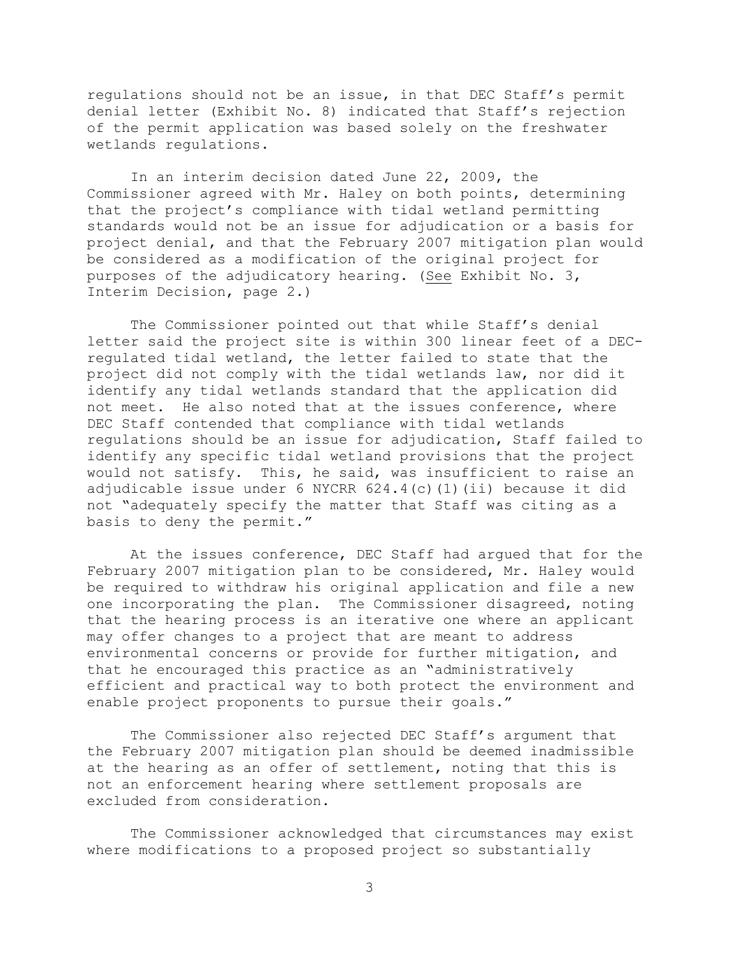regulations should not be an issue, in that DEC Staff's permit denial letter (Exhibit No. 8) indicated that Staff's rejection of the permit application was based solely on the freshwater wetlands regulations.

In an interim decision dated June 22, 2009, the Commissioner agreed with Mr. Haley on both points, determining that the project's compliance with tidal wetland permitting standards would not be an issue for adjudication or a basis for project denial, and that the February 2007 mitigation plan would be considered as a modification of the original project for purposes of the adjudicatory hearing. (See Exhibit No. 3, Interim Decision, page 2.)

The Commissioner pointed out that while Staff's denial letter said the project site is within 300 linear feet of a DECregulated tidal wetland, the letter failed to state that the project did not comply with the tidal wetlands law, nor did it identify any tidal wetlands standard that the application did not meet. He also noted that at the issues conference, where DEC Staff contended that compliance with tidal wetlands regulations should be an issue for adjudication, Staff failed to identify any specific tidal wetland provisions that the project would not satisfy. This, he said, was insufficient to raise an adjudicable issue under 6 NYCRR 624.4(c)(1)(ii) because it did not "adequately specify the matter that Staff was citing as a basis to deny the permit."

At the issues conference, DEC Staff had argued that for the February 2007 mitigation plan to be considered, Mr. Haley would be required to withdraw his original application and file a new one incorporating the plan. The Commissioner disagreed, noting that the hearing process is an iterative one where an applicant may offer changes to a project that are meant to address environmental concerns or provide for further mitigation, and that he encouraged this practice as an "administratively efficient and practical way to both protect the environment and enable project proponents to pursue their goals."

The Commissioner also rejected DEC Staff's argument that the February 2007 mitigation plan should be deemed inadmissible at the hearing as an offer of settlement, noting that this is not an enforcement hearing where settlement proposals are excluded from consideration.

The Commissioner acknowledged that circumstances may exist where modifications to a proposed project so substantially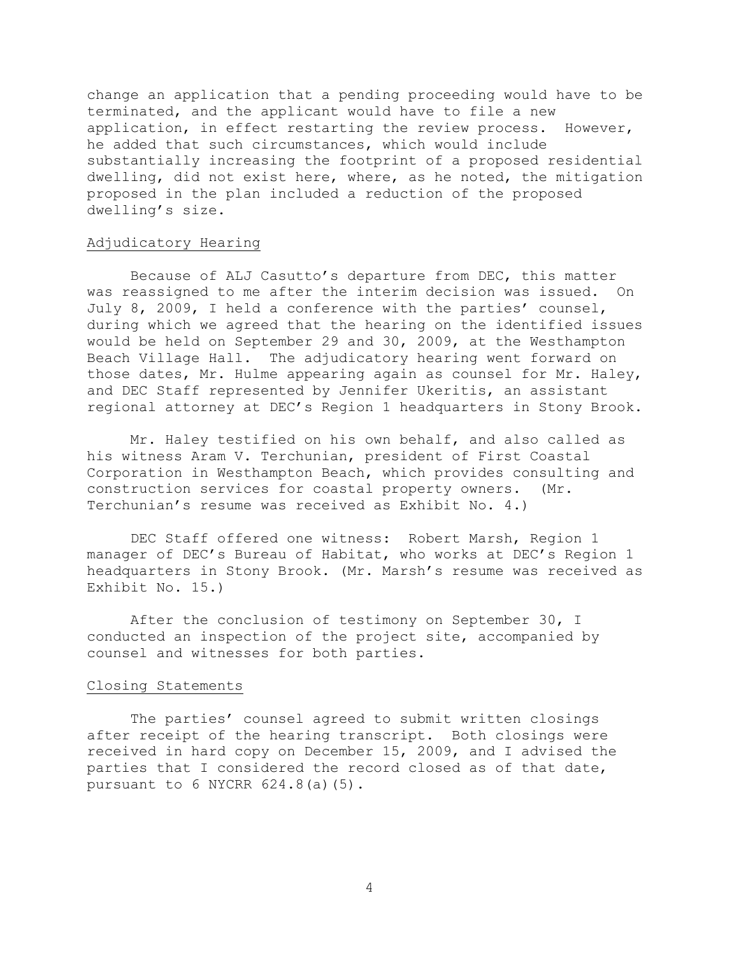change an application that a pending proceeding would have to be terminated, and the applicant would have to file a new application, in effect restarting the review process. However, he added that such circumstances, which would include substantially increasing the footprint of a proposed residential dwelling, did not exist here, where, as he noted, the mitigation proposed in the plan included a reduction of the proposed dwelling's size.

# Adjudicatory Hearing

Because of ALJ Casutto's departure from DEC, this matter was reassigned to me after the interim decision was issued. On July 8, 2009, I held a conference with the parties' counsel, during which we agreed that the hearing on the identified issues would be held on September 29 and 30, 2009, at the Westhampton Beach Village Hall. The adjudicatory hearing went forward on those dates, Mr. Hulme appearing again as counsel for Mr. Haley, and DEC Staff represented by Jennifer Ukeritis, an assistant regional attorney at DEC's Region 1 headquarters in Stony Brook.

Mr. Haley testified on his own behalf, and also called as his witness Aram V. Terchunian, president of First Coastal Corporation in Westhampton Beach, which provides consulting and construction services for coastal property owners. (Mr. Terchunian's resume was received as Exhibit No. 4.)

DEC Staff offered one witness: Robert Marsh, Region 1 manager of DEC's Bureau of Habitat, who works at DEC's Region 1 headquarters in Stony Brook. (Mr. Marsh's resume was received as Exhibit No. 15.)

After the conclusion of testimony on September 30, I conducted an inspection of the project site, accompanied by counsel and witnesses for both parties.

## Closing Statements

The parties' counsel agreed to submit written closings after receipt of the hearing transcript. Both closings were received in hard copy on December 15, 2009, and I advised the parties that I considered the record closed as of that date, pursuant to 6 NYCRR 624.8(a)(5).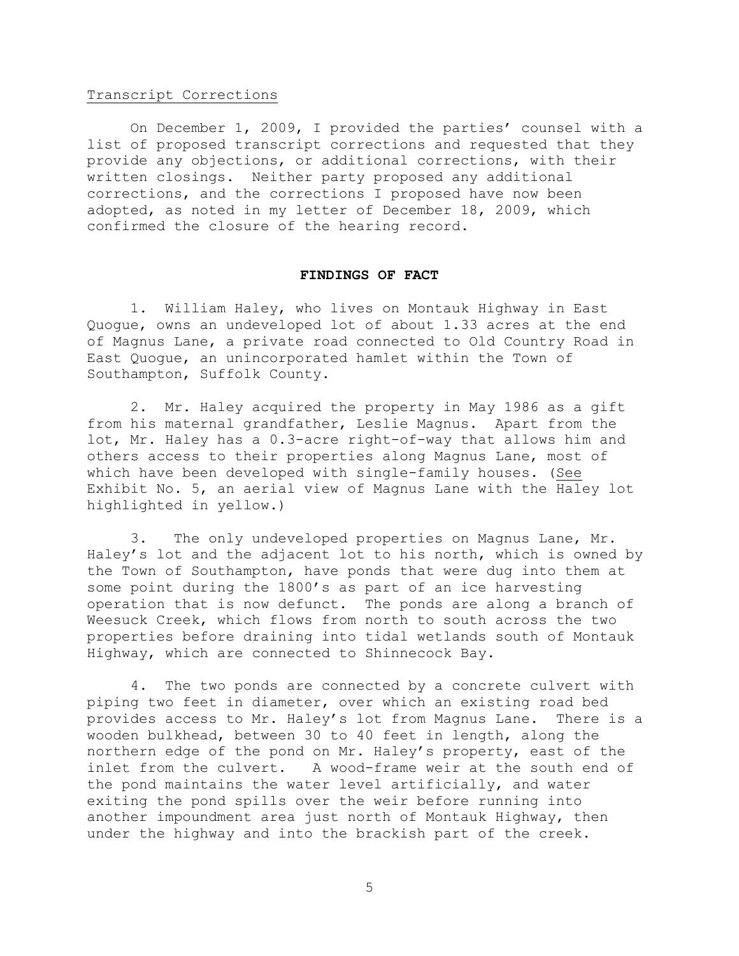#### Transcript Corrections

On December 1, 2009, I provided the parties' counsel with a list of proposed transcript corrections and requested that they provide any objections, or additional corrections, with their written closings. Neither party proposed any additional corrections, and the corrections I proposed have now been adopted, as noted in my letter of December 18, 2009, which confirmed the closure of the hearing record.

### **FINDINGS OF FACT**

1. William Haley, who lives on Montauk Highway in East Quogue, owns an undeveloped lot of about 1.33 acres at the end of Magnus Lane, a private road connected to Old Country Road in East Quogue, an unincorporated hamlet within the Town of Southampton, Suffolk County.

2. Mr. Haley acquired the property in May 1986 as a gift from his maternal grandfather, Leslie Magnus. Apart from the lot, Mr. Haley has a 0.3-acre right-of-way that allows him and others access to their properties along Magnus Lane, most of which have been developed with single-family houses. (See Exhibit No. 5, an aerial view of Magnus Lane with the Haley lot highlighted in yellow.)

3. The only undeveloped properties on Magnus Lane, Mr. Haley's lot and the adjacent lot to his north, which is owned by the Town of Southampton, have ponds that were dug into them at some point during the 1800's as part of an ice harvesting operation that is now defunct. The ponds are along a branch of Weesuck Creek, which flows from north to south across the two properties before draining into tidal wetlands south of Montauk Highway, which are connected to Shinnecock Bay.

4. The two ponds are connected by a concrete culvert with piping two feet in diameter, over which an existing road bed provides access to Mr. Haley's lot from Magnus Lane. There is a wooden bulkhead, between 30 to 40 feet in length, along the northern edge of the pond on Mr. Haley's property, east of the inlet from the culvert. A wood-frame weir at the south end of the pond maintains the water level artificially, and water exiting the pond spills over the weir before running into another impoundment area just north of Montauk Highway, then under the highway and into the brackish part of the creek.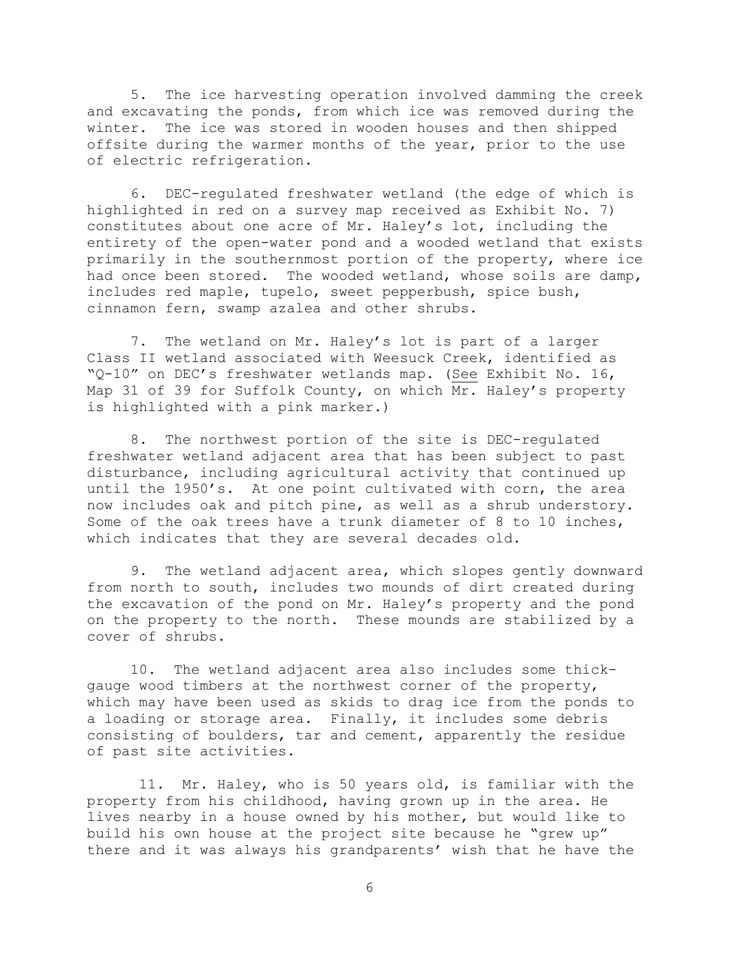5. The ice harvesting operation involved damming the creek and excavating the ponds, from which ice was removed during the winter. The ice was stored in wooden houses and then shipped offsite during the warmer months of the year, prior to the use of electric refrigeration.

6. DEC-regulated freshwater wetland (the edge of which is highlighted in red on a survey map received as Exhibit No. 7) constitutes about one acre of Mr. Haley's lot, including the entirety of the open-water pond and a wooded wetland that exists primarily in the southernmost portion of the property, where ice had once been stored. The wooded wetland, whose soils are damp, includes red maple, tupelo, sweet pepperbush, spice bush, cinnamon fern, swamp azalea and other shrubs.

7. The wetland on Mr. Haley's lot is part of a larger Class II wetland associated with Weesuck Creek, identified as "Q-10" on DEC's freshwater wetlands map. (See Exhibit No. 16, Map 31 of 39 for Suffolk County, on which Mr. Haley's property is highlighted with a pink marker.)

8. The northwest portion of the site is DEC-regulated freshwater wetland adjacent area that has been subject to past disturbance, including agricultural activity that continued up until the 1950's. At one point cultivated with corn, the area now includes oak and pitch pine, as well as a shrub understory. Some of the oak trees have a trunk diameter of 8 to 10 inches, which indicates that they are several decades old.

9. The wetland adjacent area, which slopes gently downward from north to south, includes two mounds of dirt created during the excavation of the pond on Mr. Haley's property and the pond on the property to the north. These mounds are stabilized by a cover of shrubs.

10. The wetland adjacent area also includes some thickgauge wood timbers at the northwest corner of the property, which may have been used as skids to drag ice from the ponds to a loading or storage area. Finally, it includes some debris consisting of boulders, tar and cement, apparently the residue of past site activities.

11. Mr. Haley, who is 50 years old, is familiar with the property from his childhood, having grown up in the area. He lives nearby in a house owned by his mother, but would like to build his own house at the project site because he "grew up" there and it was always his grandparents' wish that he have the

6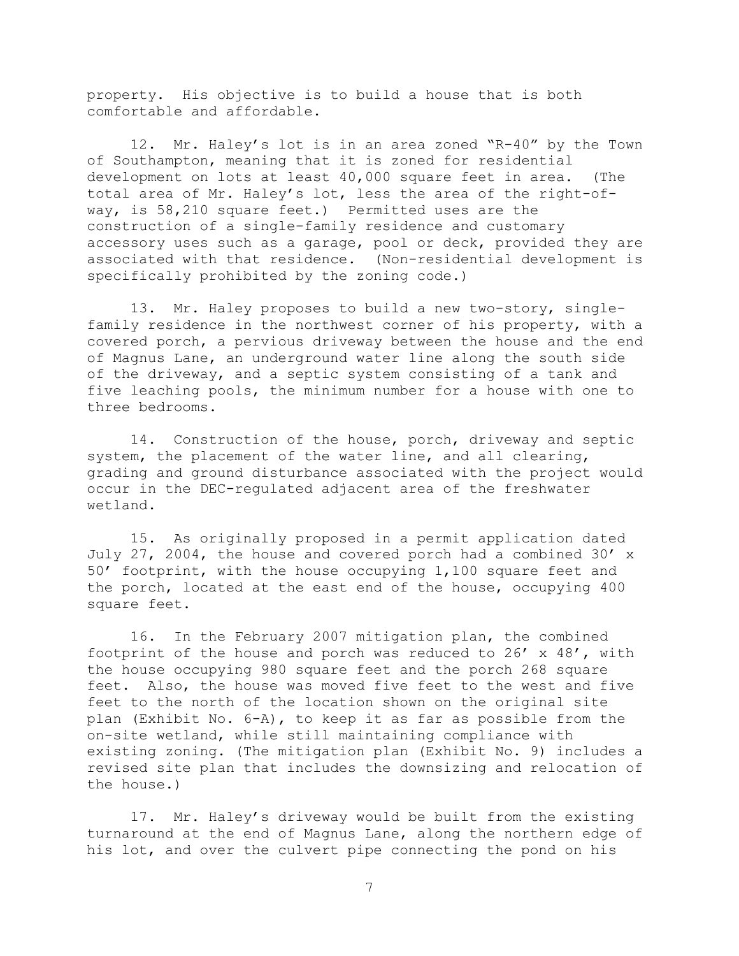property. His objective is to build a house that is both comfortable and affordable.

12. Mr. Haley's lot is in an area zoned "R-40" by the Town of Southampton, meaning that it is zoned for residential development on lots at least 40,000 square feet in area. (The total area of Mr. Haley's lot, less the area of the right-ofway, is 58,210 square feet.) Permitted uses are the construction of a single-family residence and customary accessory uses such as a garage, pool or deck, provided they are associated with that residence. (Non-residential development is specifically prohibited by the zoning code.)

13. Mr. Haley proposes to build a new two-story, singlefamily residence in the northwest corner of his property, with a covered porch, a pervious driveway between the house and the end of Magnus Lane, an underground water line along the south side of the driveway, and a septic system consisting of a tank and five leaching pools, the minimum number for a house with one to three bedrooms.

14. Construction of the house, porch, driveway and septic system, the placement of the water line, and all clearing, grading and ground disturbance associated with the project would occur in the DEC-regulated adjacent area of the freshwater wetland.

15. As originally proposed in a permit application dated July 27, 2004, the house and covered porch had a combined 30' x 50' footprint, with the house occupying 1,100 square feet and the porch, located at the east end of the house, occupying 400 square feet.

16. In the February 2007 mitigation plan, the combined footprint of the house and porch was reduced to  $26'$  x  $48'$ , with the house occupying 980 square feet and the porch 268 square feet. Also, the house was moved five feet to the west and five feet to the north of the location shown on the original site plan (Exhibit No. 6-A), to keep it as far as possible from the on-site wetland, while still maintaining compliance with existing zoning. (The mitigation plan (Exhibit No. 9) includes a revised site plan that includes the downsizing and relocation of the house.)

17. Mr. Haley's driveway would be built from the existing turnaround at the end of Magnus Lane, along the northern edge of his lot, and over the culvert pipe connecting the pond on his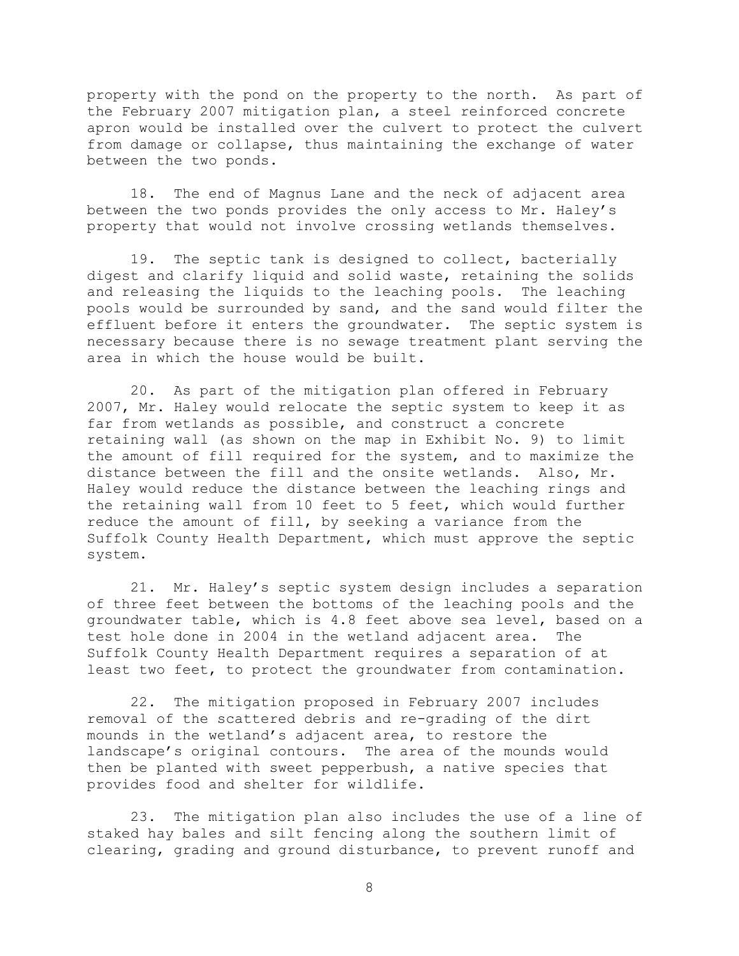property with the pond on the property to the north. As part of the February 2007 mitigation plan, a steel reinforced concrete apron would be installed over the culvert to protect the culvert from damage or collapse, thus maintaining the exchange of water between the two ponds.

18. The end of Magnus Lane and the neck of adjacent area between the two ponds provides the only access to Mr. Haley's property that would not involve crossing wetlands themselves.

19. The septic tank is designed to collect, bacterially digest and clarify liquid and solid waste, retaining the solids and releasing the liquids to the leaching pools. The leaching pools would be surrounded by sand, and the sand would filter the effluent before it enters the groundwater. The septic system is necessary because there is no sewage treatment plant serving the area in which the house would be built.

20. As part of the mitigation plan offered in February 2007, Mr. Haley would relocate the septic system to keep it as far from wetlands as possible, and construct a concrete retaining wall (as shown on the map in Exhibit No. 9) to limit the amount of fill required for the system, and to maximize the distance between the fill and the onsite wetlands. Also, Mr. Haley would reduce the distance between the leaching rings and the retaining wall from 10 feet to 5 feet, which would further reduce the amount of fill, by seeking a variance from the Suffolk County Health Department, which must approve the septic system.

21. Mr. Haley's septic system design includes a separation of three feet between the bottoms of the leaching pools and the groundwater table, which is 4.8 feet above sea level, based on a test hole done in 2004 in the wetland adjacent area. The Suffolk County Health Department requires a separation of at least two feet, to protect the groundwater from contamination.

22. The mitigation proposed in February 2007 includes removal of the scattered debris and re-grading of the dirt mounds in the wetland's adjacent area, to restore the landscape's original contours. The area of the mounds would then be planted with sweet pepperbush, a native species that provides food and shelter for wildlife.

23. The mitigation plan also includes the use of a line of staked hay bales and silt fencing along the southern limit of clearing, grading and ground disturbance, to prevent runoff and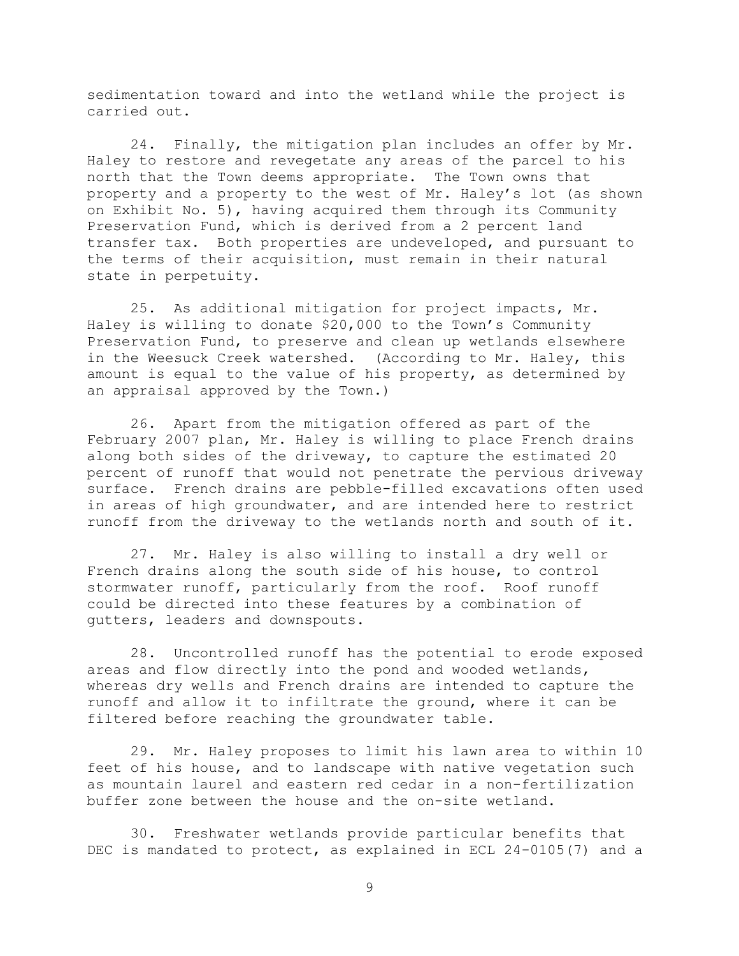sedimentation toward and into the wetland while the project is carried out.

24. Finally, the mitigation plan includes an offer by Mr. Haley to restore and revegetate any areas of the parcel to his north that the Town deems appropriate. The Town owns that property and a property to the west of Mr. Haley's lot (as shown on Exhibit No. 5), having acquired them through its Community Preservation Fund, which is derived from a 2 percent land transfer tax. Both properties are undeveloped, and pursuant to the terms of their acquisition, must remain in their natural state in perpetuity.

25. As additional mitigation for project impacts, Mr. Haley is willing to donate \$20,000 to the Town's Community Preservation Fund, to preserve and clean up wetlands elsewhere in the Weesuck Creek watershed. (According to Mr. Haley, this amount is equal to the value of his property, as determined by an appraisal approved by the Town.)

26. Apart from the mitigation offered as part of the February 2007 plan, Mr. Haley is willing to place French drains along both sides of the driveway, to capture the estimated 20 percent of runoff that would not penetrate the pervious driveway surface. French drains are pebble-filled excavations often used in areas of high groundwater, and are intended here to restrict runoff from the driveway to the wetlands north and south of it.

27. Mr. Haley is also willing to install a dry well or French drains along the south side of his house, to control stormwater runoff, particularly from the roof. Roof runoff could be directed into these features by a combination of gutters, leaders and downspouts.

28. Uncontrolled runoff has the potential to erode exposed areas and flow directly into the pond and wooded wetlands, whereas dry wells and French drains are intended to capture the runoff and allow it to infiltrate the ground, where it can be filtered before reaching the groundwater table.

29. Mr. Haley proposes to limit his lawn area to within 10 feet of his house, and to landscape with native vegetation such as mountain laurel and eastern red cedar in a non-fertilization buffer zone between the house and the on-site wetland.

30. Freshwater wetlands provide particular benefits that DEC is mandated to protect, as explained in ECL 24-0105(7) and a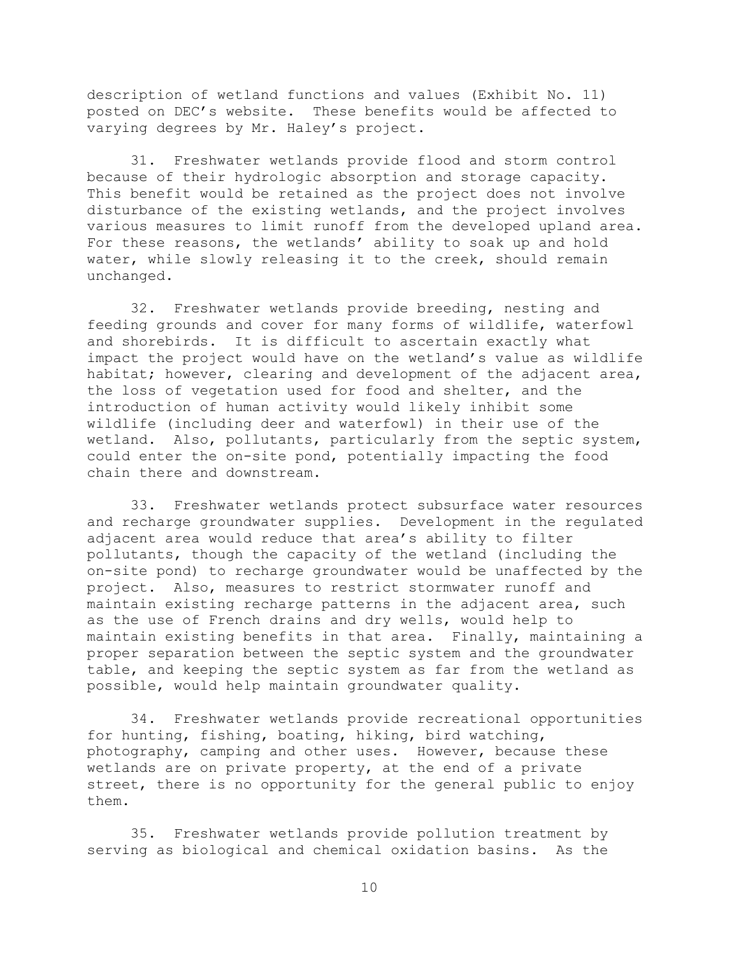description of wetland functions and values (Exhibit No. 11) posted on DEC's website. These benefits would be affected to varying degrees by Mr. Haley's project.

31. Freshwater wetlands provide flood and storm control because of their hydrologic absorption and storage capacity. This benefit would be retained as the project does not involve disturbance of the existing wetlands, and the project involves various measures to limit runoff from the developed upland area. For these reasons, the wetlands' ability to soak up and hold water, while slowly releasing it to the creek, should remain unchanged.

32. Freshwater wetlands provide breeding, nesting and feeding grounds and cover for many forms of wildlife, waterfowl and shorebirds. It is difficult to ascertain exactly what impact the project would have on the wetland's value as wildlife habitat; however, clearing and development of the adjacent area, the loss of vegetation used for food and shelter, and the introduction of human activity would likely inhibit some wildlife (including deer and waterfowl) in their use of the wetland. Also, pollutants, particularly from the septic system, could enter the on-site pond, potentially impacting the food chain there and downstream.

33. Freshwater wetlands protect subsurface water resources and recharge groundwater supplies. Development in the regulated adjacent area would reduce that area's ability to filter pollutants, though the capacity of the wetland (including the on-site pond) to recharge groundwater would be unaffected by the project. Also, measures to restrict stormwater runoff and maintain existing recharge patterns in the adjacent area, such as the use of French drains and dry wells, would help to maintain existing benefits in that area. Finally, maintaining a proper separation between the septic system and the groundwater table, and keeping the septic system as far from the wetland as possible, would help maintain groundwater quality.

34. Freshwater wetlands provide recreational opportunities for hunting, fishing, boating, hiking, bird watching, photography, camping and other uses. However, because these wetlands are on private property, at the end of a private street, there is no opportunity for the general public to enjoy them.

35. Freshwater wetlands provide pollution treatment by serving as biological and chemical oxidation basins. As the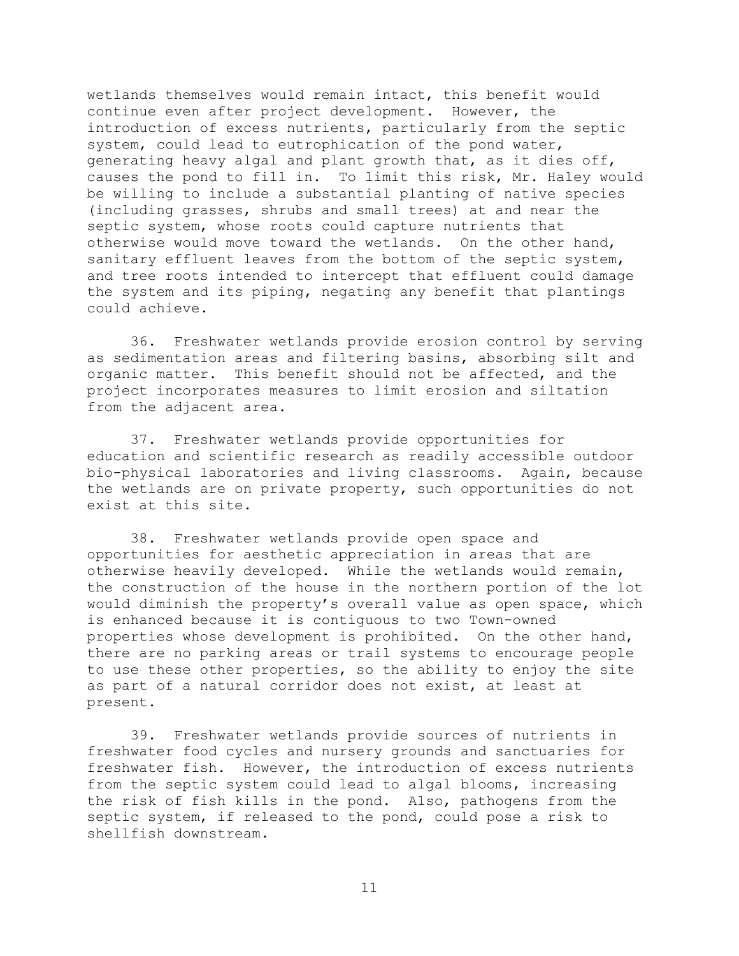wetlands themselves would remain intact, this benefit would continue even after project development. However, the introduction of excess nutrients, particularly from the septic system, could lead to eutrophication of the pond water, generating heavy algal and plant growth that, as it dies off, causes the pond to fill in. To limit this risk, Mr. Haley would be willing to include a substantial planting of native species (including grasses, shrubs and small trees) at and near the septic system, whose roots could capture nutrients that otherwise would move toward the wetlands. On the other hand, sanitary effluent leaves from the bottom of the septic system, and tree roots intended to intercept that effluent could damage the system and its piping, negating any benefit that plantings could achieve.

36. Freshwater wetlands provide erosion control by serving as sedimentation areas and filtering basins, absorbing silt and organic matter. This benefit should not be affected, and the project incorporates measures to limit erosion and siltation from the adjacent area.

37. Freshwater wetlands provide opportunities for education and scientific research as readily accessible outdoor bio-physical laboratories and living classrooms. Again, because the wetlands are on private property, such opportunities do not exist at this site.

38. Freshwater wetlands provide open space and opportunities for aesthetic appreciation in areas that are otherwise heavily developed. While the wetlands would remain, the construction of the house in the northern portion of the lot would diminish the property's overall value as open space, which is enhanced because it is contiguous to two Town-owned properties whose development is prohibited. On the other hand, there are no parking areas or trail systems to encourage people to use these other properties, so the ability to enjoy the site as part of a natural corridor does not exist, at least at present.

39. Freshwater wetlands provide sources of nutrients in freshwater food cycles and nursery grounds and sanctuaries for freshwater fish. However, the introduction of excess nutrients from the septic system could lead to algal blooms, increasing the risk of fish kills in the pond. Also, pathogens from the septic system, if released to the pond, could pose a risk to shellfish downstream.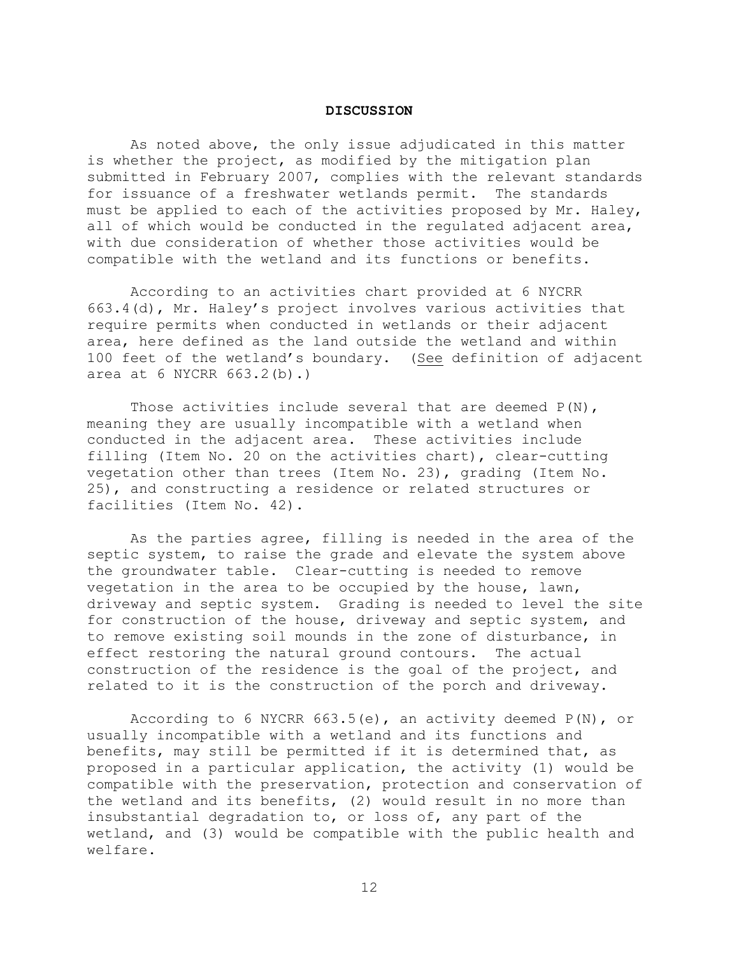#### **DISCUSSION**

As noted above, the only issue adjudicated in this matter is whether the project, as modified by the mitigation plan submitted in February 2007, complies with the relevant standards for issuance of a freshwater wetlands permit. The standards must be applied to each of the activities proposed by Mr. Haley, all of which would be conducted in the regulated adjacent area, with due consideration of whether those activities would be compatible with the wetland and its functions or benefits.

According to an activities chart provided at 6 NYCRR 663.4(d), Mr. Haley's project involves various activities that require permits when conducted in wetlands or their adjacent area, here defined as the land outside the wetland and within 100 feet of the wetland's boundary. (See definition of adjacent area at 6 NYCRR 663.2(b).)

Those activities include several that are deemed  $P(N)$ , meaning they are usually incompatible with a wetland when conducted in the adjacent area. These activities include filling (Item No. 20 on the activities chart), clear-cutting vegetation other than trees (Item No. 23), grading (Item No. 25), and constructing a residence or related structures or facilities (Item No. 42).

As the parties agree, filling is needed in the area of the septic system, to raise the grade and elevate the system above the groundwater table. Clear-cutting is needed to remove vegetation in the area to be occupied by the house, lawn, driveway and septic system. Grading is needed to level the site for construction of the house, driveway and septic system, and to remove existing soil mounds in the zone of disturbance, in effect restoring the natural ground contours. The actual construction of the residence is the goal of the project, and related to it is the construction of the porch and driveway.

According to 6 NYCRR 663.5(e), an activity deemed P(N), or usually incompatible with a wetland and its functions and benefits, may still be permitted if it is determined that, as proposed in a particular application, the activity (1) would be compatible with the preservation, protection and conservation of the wetland and its benefits, (2) would result in no more than insubstantial degradation to, or loss of, any part of the wetland, and (3) would be compatible with the public health and welfare.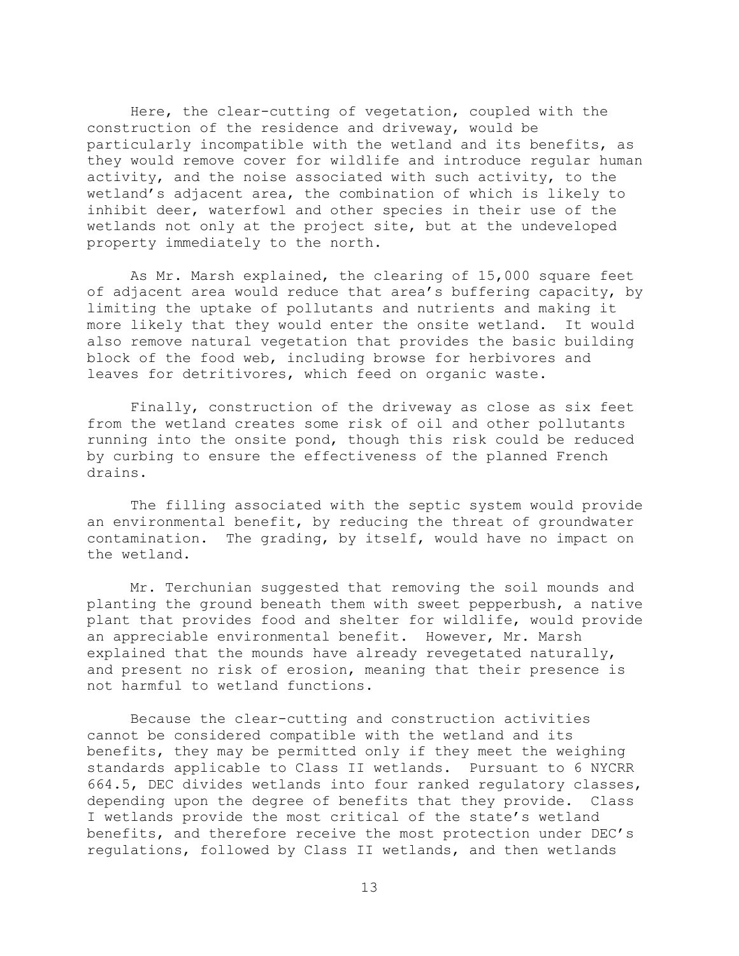Here, the clear-cutting of vegetation, coupled with the construction of the residence and driveway, would be particularly incompatible with the wetland and its benefits, as they would remove cover for wildlife and introduce regular human activity, and the noise associated with such activity, to the wetland's adjacent area, the combination of which is likely to inhibit deer, waterfowl and other species in their use of the wetlands not only at the project site, but at the undeveloped property immediately to the north.

As Mr. Marsh explained, the clearing of 15,000 square feet of adjacent area would reduce that area's buffering capacity, by limiting the uptake of pollutants and nutrients and making it more likely that they would enter the onsite wetland. It would also remove natural vegetation that provides the basic building block of the food web, including browse for herbivores and leaves for detritivores, which feed on organic waste.

Finally, construction of the driveway as close as six feet from the wetland creates some risk of oil and other pollutants running into the onsite pond, though this risk could be reduced by curbing to ensure the effectiveness of the planned French drains.

The filling associated with the septic system would provide an environmental benefit, by reducing the threat of groundwater contamination. The grading, by itself, would have no impact on the wetland.

Mr. Terchunian suggested that removing the soil mounds and planting the ground beneath them with sweet pepperbush, a native plant that provides food and shelter for wildlife, would provide an appreciable environmental benefit. However, Mr. Marsh explained that the mounds have already revegetated naturally, and present no risk of erosion, meaning that their presence is not harmful to wetland functions.

Because the clear-cutting and construction activities cannot be considered compatible with the wetland and its benefits, they may be permitted only if they meet the weighing standards applicable to Class II wetlands. Pursuant to 6 NYCRR 664.5, DEC divides wetlands into four ranked regulatory classes, depending upon the degree of benefits that they provide. Class I wetlands provide the most critical of the state's wetland benefits, and therefore receive the most protection under DEC's regulations, followed by Class II wetlands, and then wetlands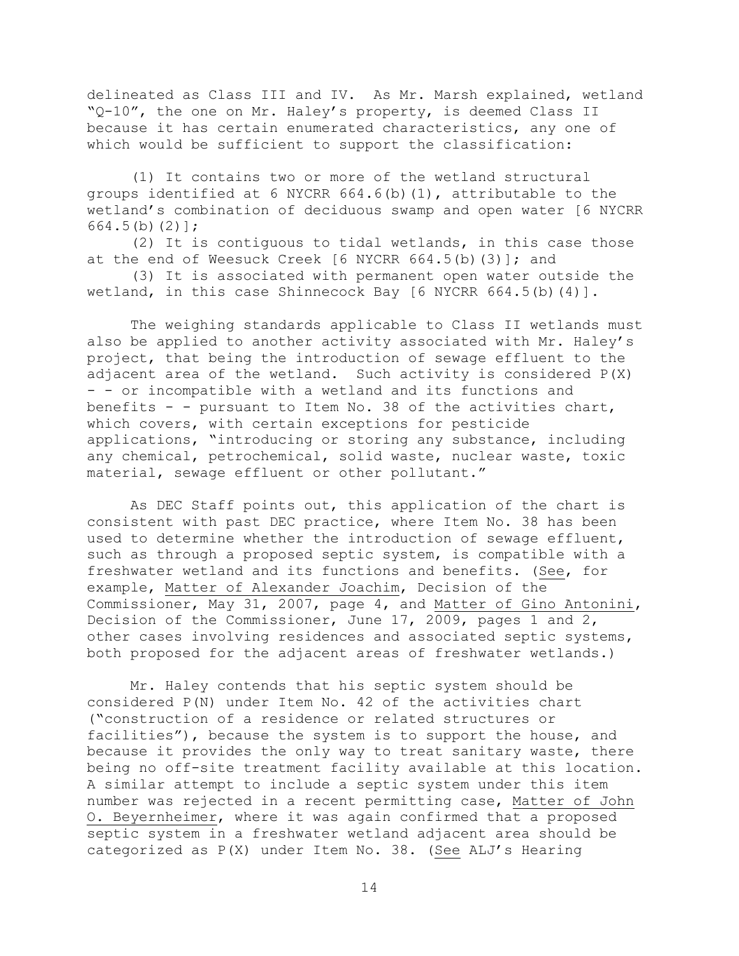delineated as Class III and IV. As Mr. Marsh explained, wetland "Q-10", the one on Mr. Haley's property, is deemed Class II because it has certain enumerated characteristics, any one of which would be sufficient to support the classification:

(1) It contains two or more of the wetland structural groups identified at 6 NYCRR 664.6(b)(1), attributable to the wetland's combination of deciduous swamp and open water [6 NYCRR 664.5(b)(2)];

(2) It is contiguous to tidal wetlands, in this case those at the end of Weesuck Creek [6 NYCRR 664.5(b)(3)]; and

(3) It is associated with permanent open water outside the wetland, in this case Shinnecock Bay [6 NYCRR 664.5(b)(4)].

The weighing standards applicable to Class II wetlands must also be applied to another activity associated with Mr. Haley's project, that being the introduction of sewage effluent to the adjacent area of the wetland. Such activity is considered P(X) - - or incompatible with a wetland and its functions and benefits - - pursuant to Item No. 38 of the activities chart, which covers, with certain exceptions for pesticide applications, "introducing or storing any substance, including any chemical, petrochemical, solid waste, nuclear waste, toxic material, sewage effluent or other pollutant."

As DEC Staff points out, this application of the chart is consistent with past DEC practice, where Item No. 38 has been used to determine whether the introduction of sewage effluent, such as through a proposed septic system, is compatible with a freshwater wetland and its functions and benefits. (See, for example, Matter of Alexander Joachim, Decision of the Commissioner, May 31, 2007, page 4, and Matter of Gino Antonini, Decision of the Commissioner, June 17, 2009, pages 1 and 2, other cases involving residences and associated septic systems, both proposed for the adjacent areas of freshwater wetlands.)

Mr. Haley contends that his septic system should be considered P(N) under Item No. 42 of the activities chart ("construction of a residence or related structures or facilities"), because the system is to support the house, and because it provides the only way to treat sanitary waste, there being no off-site treatment facility available at this location. A similar attempt to include a septic system under this item number was rejected in a recent permitting case, Matter of John O. Beyernheimer, where it was again confirmed that a proposed septic system in a freshwater wetland adjacent area should be categorized as P(X) under Item No. 38. (See ALJ's Hearing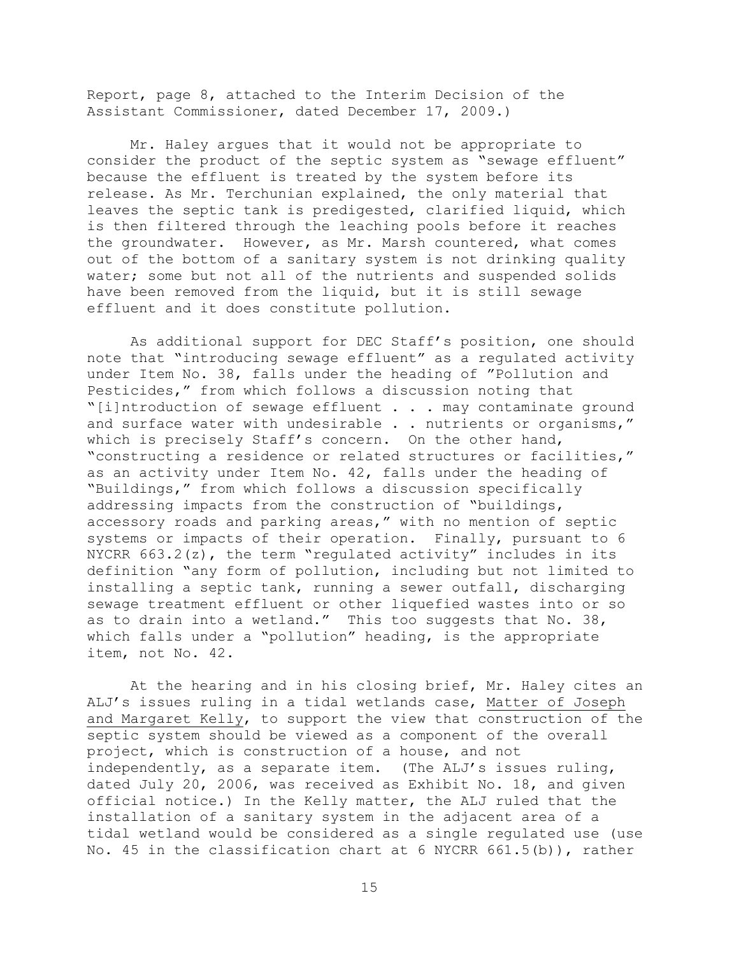Report, page 8, attached to the Interim Decision of the Assistant Commissioner, dated December 17, 2009.)

Mr. Haley argues that it would not be appropriate to consider the product of the septic system as "sewage effluent" because the effluent is treated by the system before its release. As Mr. Terchunian explained, the only material that leaves the septic tank is predigested, clarified liquid, which is then filtered through the leaching pools before it reaches the groundwater. However, as Mr. Marsh countered, what comes out of the bottom of a sanitary system is not drinking quality water; some but not all of the nutrients and suspended solids have been removed from the liquid, but it is still sewage effluent and it does constitute pollution.

As additional support for DEC Staff's position, one should note that "introducing sewage effluent" as a regulated activity under Item No. 38, falls under the heading of "Pollution and Pesticides," from which follows a discussion noting that "[i]ntroduction of sewage effluent . . . may contaminate ground and surface water with undesirable . . nutrients or organisms," which is precisely Staff's concern. On the other hand, "constructing a residence or related structures or facilities," as an activity under Item No. 42, falls under the heading of "Buildings," from which follows a discussion specifically addressing impacts from the construction of "buildings, accessory roads and parking areas," with no mention of septic systems or impacts of their operation. Finally, pursuant to 6 NYCRR 663.2(z), the term "regulated activity" includes in its definition "any form of pollution, including but not limited to installing a septic tank, running a sewer outfall, discharging sewage treatment effluent or other liquefied wastes into or so as to drain into a wetland." This too suggests that No. 38, which falls under a "pollution" heading, is the appropriate item, not No. 42.

At the hearing and in his closing brief, Mr. Haley cites an ALJ's issues ruling in a tidal wetlands case, Matter of Joseph and Margaret Kelly, to support the view that construction of the septic system should be viewed as a component of the overall project, which is construction of a house, and not independently, as a separate item. (The ALJ's issues ruling, dated July 20, 2006, was received as Exhibit No. 18, and given official notice.) In the Kelly matter, the ALJ ruled that the installation of a sanitary system in the adjacent area of a tidal wetland would be considered as a single regulated use (use No. 45 in the classification chart at 6 NYCRR 661.5(b)), rather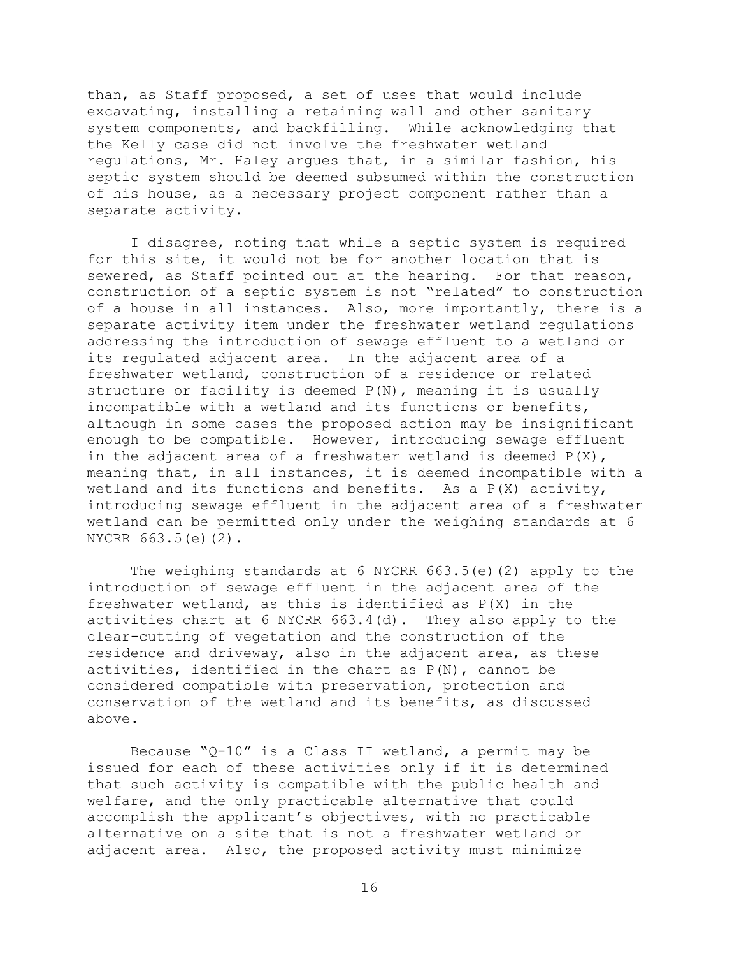than, as Staff proposed, a set of uses that would include excavating, installing a retaining wall and other sanitary system components, and backfilling. While acknowledging that the Kelly case did not involve the freshwater wetland regulations, Mr. Haley argues that, in a similar fashion, his septic system should be deemed subsumed within the construction of his house, as a necessary project component rather than a separate activity.

I disagree, noting that while a septic system is required for this site, it would not be for another location that is sewered, as Staff pointed out at the hearing. For that reason, construction of a septic system is not "related" to construction of a house in all instances. Also, more importantly, there is a separate activity item under the freshwater wetland regulations addressing the introduction of sewage effluent to a wetland or its regulated adjacent area. In the adjacent area of a freshwater wetland, construction of a residence or related structure or facility is deemed  $P(N)$ , meaning it is usually incompatible with a wetland and its functions or benefits, although in some cases the proposed action may be insignificant enough to be compatible. However, introducing sewage effluent in the adjacent area of a freshwater wetland is deemed  $P(X)$ , meaning that, in all instances, it is deemed incompatible with a wetland and its functions and benefits. As a  $P(X)$  activity, introducing sewage effluent in the adjacent area of a freshwater wetland can be permitted only under the weighing standards at 6 NYCRR 663.5(e)(2).

The weighing standards at 6 NYCRR 663.5(e)(2) apply to the introduction of sewage effluent in the adjacent area of the freshwater wetland, as this is identified as P(X) in the activities chart at 6 NYCRR 663.4(d). They also apply to the clear-cutting of vegetation and the construction of the residence and driveway, also in the adjacent area, as these activities, identified in the chart as  $P(N)$ , cannot be considered compatible with preservation, protection and conservation of the wetland and its benefits, as discussed above.

Because "Q-10" is a Class II wetland, a permit may be issued for each of these activities only if it is determined that such activity is compatible with the public health and welfare, and the only practicable alternative that could accomplish the applicant's objectives, with no practicable alternative on a site that is not a freshwater wetland or adjacent area. Also, the proposed activity must minimize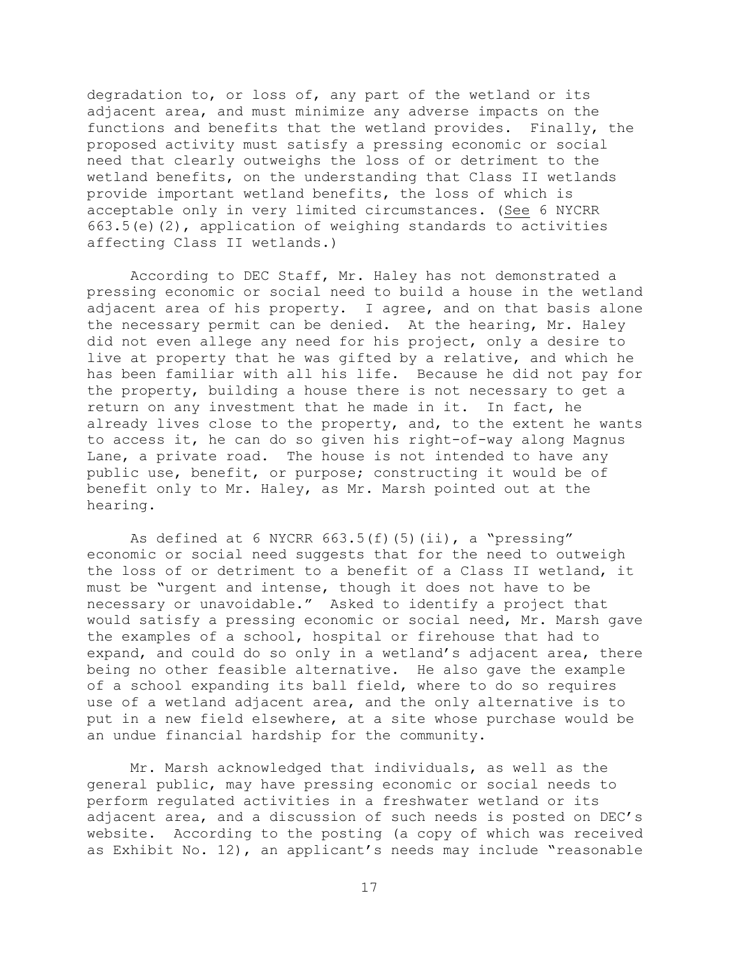degradation to, or loss of, any part of the wetland or its adjacent area, and must minimize any adverse impacts on the functions and benefits that the wetland provides. Finally, the proposed activity must satisfy a pressing economic or social need that clearly outweighs the loss of or detriment to the wetland benefits, on the understanding that Class II wetlands provide important wetland benefits, the loss of which is acceptable only in very limited circumstances. (See 6 NYCRR  $663.5(e)$  (2), application of weighing standards to activities affecting Class II wetlands.)

According to DEC Staff, Mr. Haley has not demonstrated a pressing economic or social need to build a house in the wetland adjacent area of his property. I agree, and on that basis alone the necessary permit can be denied. At the hearing, Mr. Haley did not even allege any need for his project, only a desire to live at property that he was gifted by a relative, and which he has been familiar with all his life. Because he did not pay for the property, building a house there is not necessary to get a return on any investment that he made in it. In fact, he already lives close to the property, and, to the extent he wants to access it, he can do so given his right-of-way along Magnus Lane, a private road. The house is not intended to have any public use, benefit, or purpose; constructing it would be of benefit only to Mr. Haley, as Mr. Marsh pointed out at the hearing.

As defined at 6 NYCRR  $663.5(f)(5)(ii)$ , a "pressing" economic or social need suggests that for the need to outweigh the loss of or detriment to a benefit of a Class II wetland, it must be "urgent and intense, though it does not have to be necessary or unavoidable." Asked to identify a project that would satisfy a pressing economic or social need, Mr. Marsh gave the examples of a school, hospital or firehouse that had to expand, and could do so only in a wetland's adjacent area, there being no other feasible alternative. He also gave the example of a school expanding its ball field, where to do so requires use of a wetland adjacent area, and the only alternative is to put in a new field elsewhere, at a site whose purchase would be an undue financial hardship for the community.

Mr. Marsh acknowledged that individuals, as well as the general public, may have pressing economic or social needs to perform regulated activities in a freshwater wetland or its adjacent area, and a discussion of such needs is posted on DEC's website. According to the posting (a copy of which was received as Exhibit No. 12), an applicant's needs may include "reasonable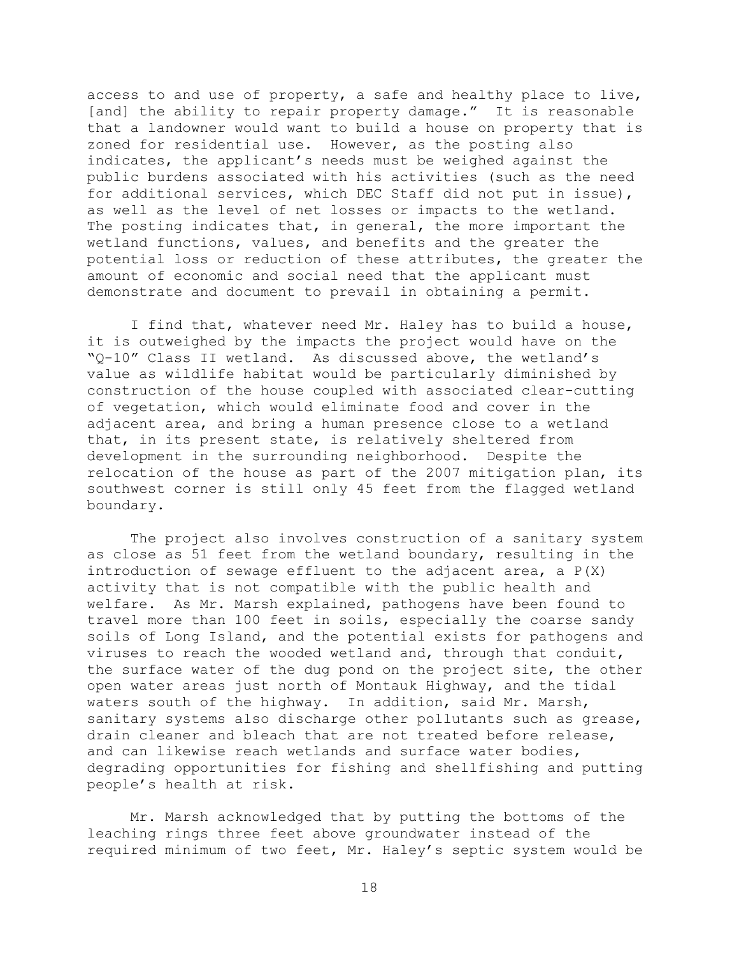access to and use of property, a safe and healthy place to live, [and] the ability to repair property damage." It is reasonable that a landowner would want to build a house on property that is zoned for residential use. However, as the posting also indicates, the applicant's needs must be weighed against the public burdens associated with his activities (such as the need for additional services, which DEC Staff did not put in issue), as well as the level of net losses or impacts to the wetland. The posting indicates that, in general, the more important the wetland functions, values, and benefits and the greater the potential loss or reduction of these attributes, the greater the amount of economic and social need that the applicant must demonstrate and document to prevail in obtaining a permit.

I find that, whatever need Mr. Haley has to build a house, it is outweighed by the impacts the project would have on the "Q-10" Class II wetland. As discussed above, the wetland's value as wildlife habitat would be particularly diminished by construction of the house coupled with associated clear-cutting of vegetation, which would eliminate food and cover in the adjacent area, and bring a human presence close to a wetland that, in its present state, is relatively sheltered from development in the surrounding neighborhood. Despite the relocation of the house as part of the 2007 mitigation plan, its southwest corner is still only 45 feet from the flagged wetland boundary.

The project also involves construction of a sanitary system as close as 51 feet from the wetland boundary, resulting in the introduction of sewage effluent to the adjacent area, a P(X) activity that is not compatible with the public health and welfare. As Mr. Marsh explained, pathogens have been found to travel more than 100 feet in soils, especially the coarse sandy soils of Long Island, and the potential exists for pathogens and viruses to reach the wooded wetland and, through that conduit, the surface water of the dug pond on the project site, the other open water areas just north of Montauk Highway, and the tidal waters south of the highway. In addition, said Mr. Marsh, sanitary systems also discharge other pollutants such as grease, drain cleaner and bleach that are not treated before release, and can likewise reach wetlands and surface water bodies, degrading opportunities for fishing and shellfishing and putting people's health at risk.

Mr. Marsh acknowledged that by putting the bottoms of the leaching rings three feet above groundwater instead of the required minimum of two feet, Mr. Haley's septic system would be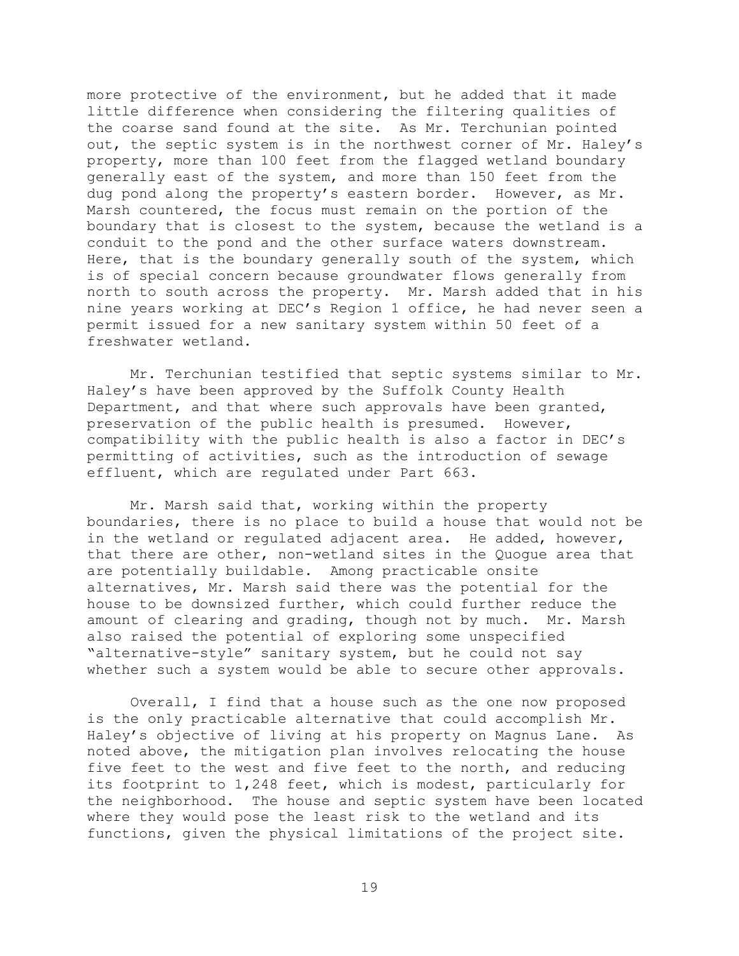more protective of the environment, but he added that it made little difference when considering the filtering qualities of the coarse sand found at the site. As Mr. Terchunian pointed out, the septic system is in the northwest corner of Mr. Haley's property, more than 100 feet from the flagged wetland boundary generally east of the system, and more than 150 feet from the dug pond along the property's eastern border. However, as Mr. Marsh countered, the focus must remain on the portion of the boundary that is closest to the system, because the wetland is a conduit to the pond and the other surface waters downstream. Here, that is the boundary generally south of the system, which is of special concern because groundwater flows generally from north to south across the property. Mr. Marsh added that in his nine years working at DEC's Region 1 office, he had never seen a permit issued for a new sanitary system within 50 feet of a freshwater wetland.

Mr. Terchunian testified that septic systems similar to Mr. Haley's have been approved by the Suffolk County Health Department, and that where such approvals have been granted, preservation of the public health is presumed. However, compatibility with the public health is also a factor in DEC's permitting of activities, such as the introduction of sewage effluent, which are regulated under Part 663.

Mr. Marsh said that, working within the property boundaries, there is no place to build a house that would not be in the wetland or regulated adjacent area. He added, however, that there are other, non-wetland sites in the Quogue area that are potentially buildable. Among practicable onsite alternatives, Mr. Marsh said there was the potential for the house to be downsized further, which could further reduce the amount of clearing and grading, though not by much. Mr. Marsh also raised the potential of exploring some unspecified "alternative-style" sanitary system, but he could not say whether such a system would be able to secure other approvals.

Overall, I find that a house such as the one now proposed is the only practicable alternative that could accomplish Mr. Haley's objective of living at his property on Magnus Lane. As noted above, the mitigation plan involves relocating the house five feet to the west and five feet to the north, and reducing its footprint to 1,248 feet, which is modest, particularly for the neighborhood. The house and septic system have been located where they would pose the least risk to the wetland and its functions, given the physical limitations of the project site.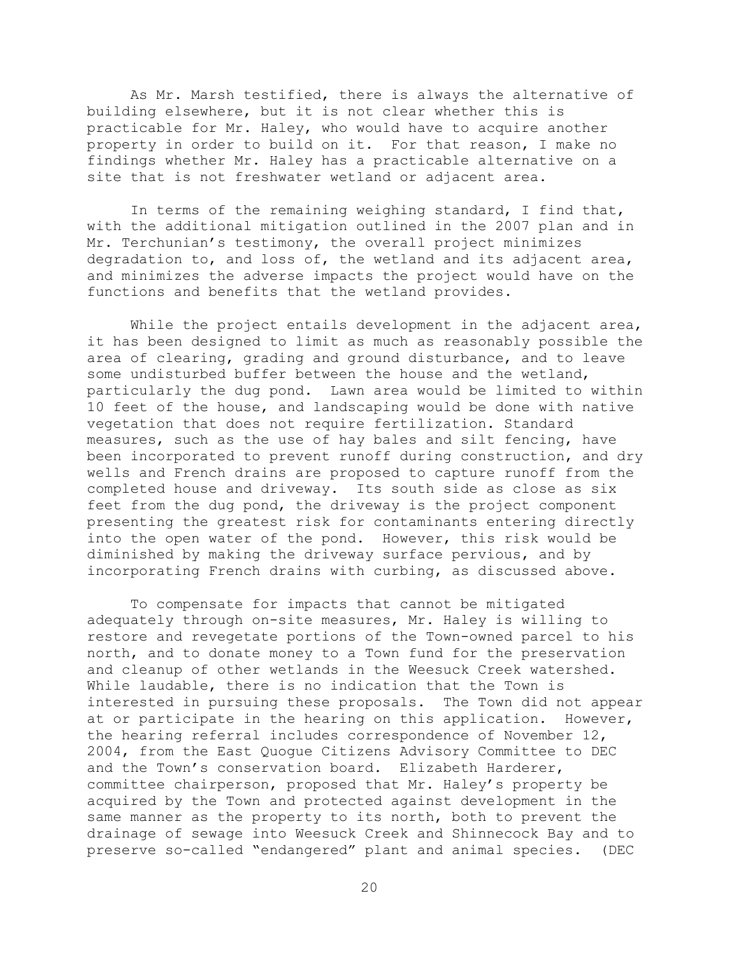As Mr. Marsh testified, there is always the alternative of building elsewhere, but it is not clear whether this is practicable for Mr. Haley, who would have to acquire another property in order to build on it. For that reason, I make no findings whether Mr. Haley has a practicable alternative on a site that is not freshwater wetland or adjacent area.

In terms of the remaining weighing standard, I find that, with the additional mitigation outlined in the 2007 plan and in Mr. Terchunian's testimony, the overall project minimizes degradation to, and loss of, the wetland and its adjacent area, and minimizes the adverse impacts the project would have on the functions and benefits that the wetland provides.

While the project entails development in the adjacent area, it has been designed to limit as much as reasonably possible the area of clearing, grading and ground disturbance, and to leave some undisturbed buffer between the house and the wetland, particularly the dug pond. Lawn area would be limited to within 10 feet of the house, and landscaping would be done with native vegetation that does not require fertilization. Standard measures, such as the use of hay bales and silt fencing, have been incorporated to prevent runoff during construction, and dry wells and French drains are proposed to capture runoff from the completed house and driveway. Its south side as close as six feet from the dug pond, the driveway is the project component presenting the greatest risk for contaminants entering directly into the open water of the pond. However, this risk would be diminished by making the driveway surface pervious, and by incorporating French drains with curbing, as discussed above.

To compensate for impacts that cannot be mitigated adequately through on-site measures, Mr. Haley is willing to restore and revegetate portions of the Town-owned parcel to his north, and to donate money to a Town fund for the preservation and cleanup of other wetlands in the Weesuck Creek watershed. While laudable, there is no indication that the Town is interested in pursuing these proposals. The Town did not appear at or participate in the hearing on this application. However, the hearing referral includes correspondence of November 12, 2004, from the East Quogue Citizens Advisory Committee to DEC and the Town's conservation board. Elizabeth Harderer, committee chairperson, proposed that Mr. Haley's property be acquired by the Town and protected against development in the same manner as the property to its north, both to prevent the drainage of sewage into Weesuck Creek and Shinnecock Bay and to preserve so-called "endangered" plant and animal species. (DEC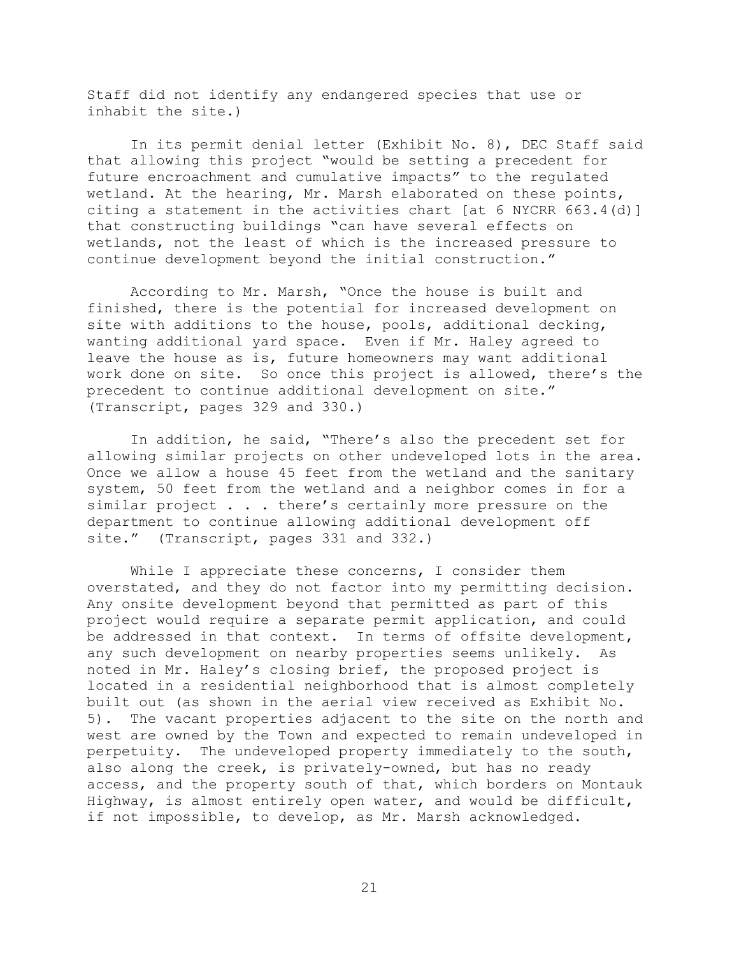Staff did not identify any endangered species that use or inhabit the site.)

In its permit denial letter (Exhibit No. 8), DEC Staff said that allowing this project "would be setting a precedent for future encroachment and cumulative impacts" to the regulated wetland. At the hearing, Mr. Marsh elaborated on these points, citing a statement in the activities chart [at 6 NYCRR 663.4(d)] that constructing buildings "can have several effects on wetlands, not the least of which is the increased pressure to continue development beyond the initial construction."

According to Mr. Marsh, "Once the house is built and finished, there is the potential for increased development on site with additions to the house, pools, additional decking, wanting additional yard space. Even if Mr. Haley agreed to leave the house as is, future homeowners may want additional work done on site. So once this project is allowed, there's the precedent to continue additional development on site." (Transcript, pages 329 and 330.)

In addition, he said, "There's also the precedent set for allowing similar projects on other undeveloped lots in the area. Once we allow a house 45 feet from the wetland and the sanitary system, 50 feet from the wetland and a neighbor comes in for a similar project . . . there's certainly more pressure on the department to continue allowing additional development off site." (Transcript, pages 331 and 332.)

While I appreciate these concerns, I consider them overstated, and they do not factor into my permitting decision. Any onsite development beyond that permitted as part of this project would require a separate permit application, and could be addressed in that context. In terms of offsite development, any such development on nearby properties seems unlikely. As noted in Mr. Haley's closing brief, the proposed project is located in a residential neighborhood that is almost completely built out (as shown in the aerial view received as Exhibit No. 5). The vacant properties adjacent to the site on the north and west are owned by the Town and expected to remain undeveloped in perpetuity. The undeveloped property immediately to the south, also along the creek, is privately-owned, but has no ready access, and the property south of that, which borders on Montauk Highway, is almost entirely open water, and would be difficult, if not impossible, to develop, as Mr. Marsh acknowledged.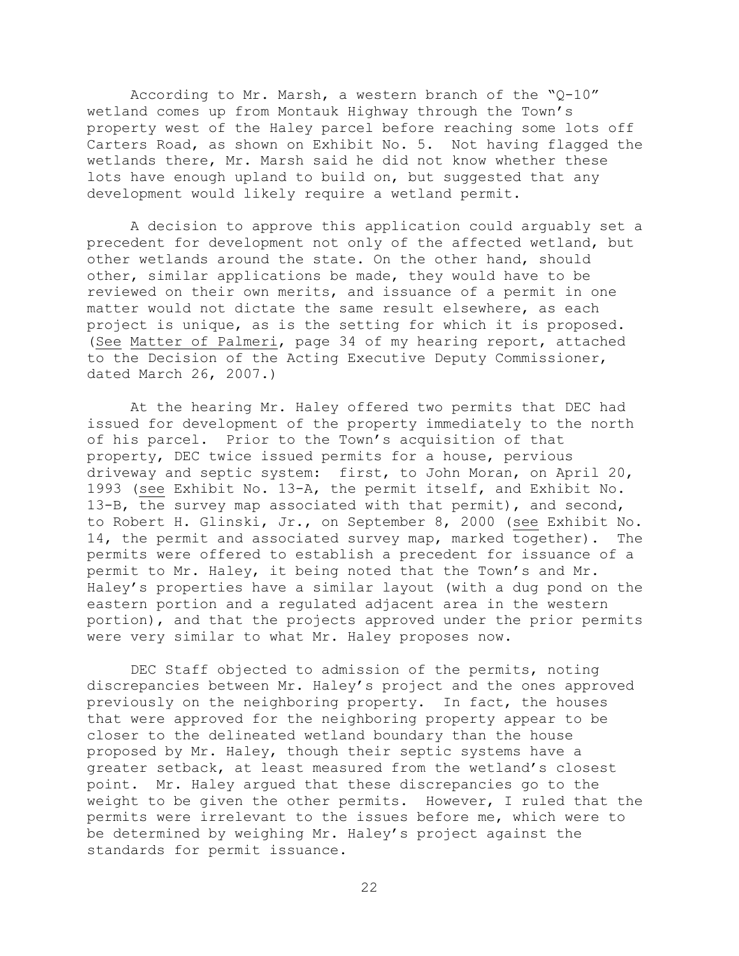According to Mr. Marsh, a western branch of the "Q-10" wetland comes up from Montauk Highway through the Town's property west of the Haley parcel before reaching some lots off Carters Road, as shown on Exhibit No. 5. Not having flagged the wetlands there, Mr. Marsh said he did not know whether these lots have enough upland to build on, but suggested that any development would likely require a wetland permit.

A decision to approve this application could arguably set a precedent for development not only of the affected wetland, but other wetlands around the state. On the other hand, should other, similar applications be made, they would have to be reviewed on their own merits, and issuance of a permit in one matter would not dictate the same result elsewhere, as each project is unique, as is the setting for which it is proposed. (See Matter of Palmeri, page 34 of my hearing report, attached to the Decision of the Acting Executive Deputy Commissioner, dated March 26, 2007.)

At the hearing Mr. Haley offered two permits that DEC had issued for development of the property immediately to the north of his parcel. Prior to the Town's acquisition of that property, DEC twice issued permits for a house, pervious driveway and septic system: first, to John Moran, on April 20, 1993 (see Exhibit No. 13-A, the permit itself, and Exhibit No. 13-B, the survey map associated with that permit), and second, to Robert H. Glinski, Jr., on September 8, 2000 (see Exhibit No. 14, the permit and associated survey map, marked together). The permits were offered to establish a precedent for issuance of a permit to Mr. Haley, it being noted that the Town's and Mr. Haley's properties have a similar layout (with a dug pond on the eastern portion and a regulated adjacent area in the western portion), and that the projects approved under the prior permits were very similar to what Mr. Haley proposes now.

DEC Staff objected to admission of the permits, noting discrepancies between Mr. Haley's project and the ones approved previously on the neighboring property. In fact, the houses that were approved for the neighboring property appear to be closer to the delineated wetland boundary than the house proposed by Mr. Haley, though their septic systems have a greater setback, at least measured from the wetland's closest point. Mr. Haley argued that these discrepancies go to the weight to be given the other permits. However, I ruled that the permits were irrelevant to the issues before me, which were to be determined by weighing Mr. Haley's project against the standards for permit issuance.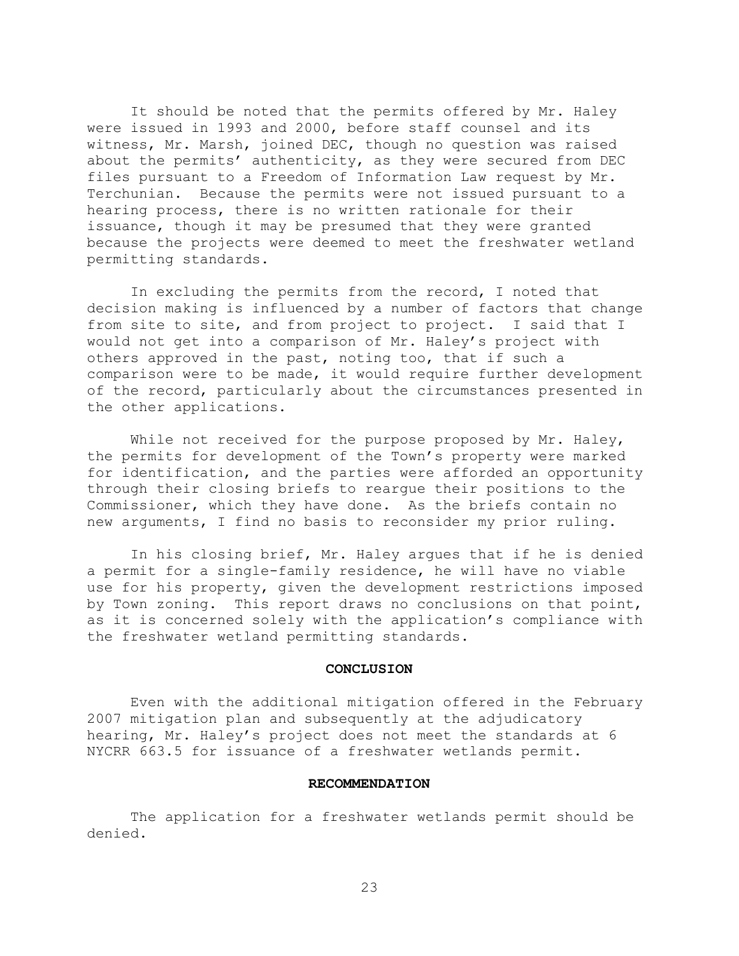It should be noted that the permits offered by Mr. Haley were issued in 1993 and 2000, before staff counsel and its witness, Mr. Marsh, joined DEC, though no question was raised about the permits' authenticity, as they were secured from DEC files pursuant to a Freedom of Information Law request by Mr. Terchunian. Because the permits were not issued pursuant to a hearing process, there is no written rationale for their issuance, though it may be presumed that they were granted because the projects were deemed to meet the freshwater wetland permitting standards.

In excluding the permits from the record, I noted that decision making is influenced by a number of factors that change from site to site, and from project to project. I said that I would not get into a comparison of Mr. Haley's project with others approved in the past, noting too, that if such a comparison were to be made, it would require further development of the record, particularly about the circumstances presented in the other applications.

While not received for the purpose proposed by Mr. Haley, the permits for development of the Town's property were marked for identification, and the parties were afforded an opportunity through their closing briefs to reargue their positions to the Commissioner, which they have done. As the briefs contain no new arguments, I find no basis to reconsider my prior ruling.

In his closing brief, Mr. Haley argues that if he is denied a permit for a single-family residence, he will have no viable use for his property, given the development restrictions imposed by Town zoning. This report draws no conclusions on that point, as it is concerned solely with the application's compliance with the freshwater wetland permitting standards.

#### **CONCLUSION**

Even with the additional mitigation offered in the February 2007 mitigation plan and subsequently at the adjudicatory hearing, Mr. Haley's project does not meet the standards at 6 NYCRR 663.5 for issuance of a freshwater wetlands permit.

#### **RECOMMENDATION**

The application for a freshwater wetlands permit should be denied.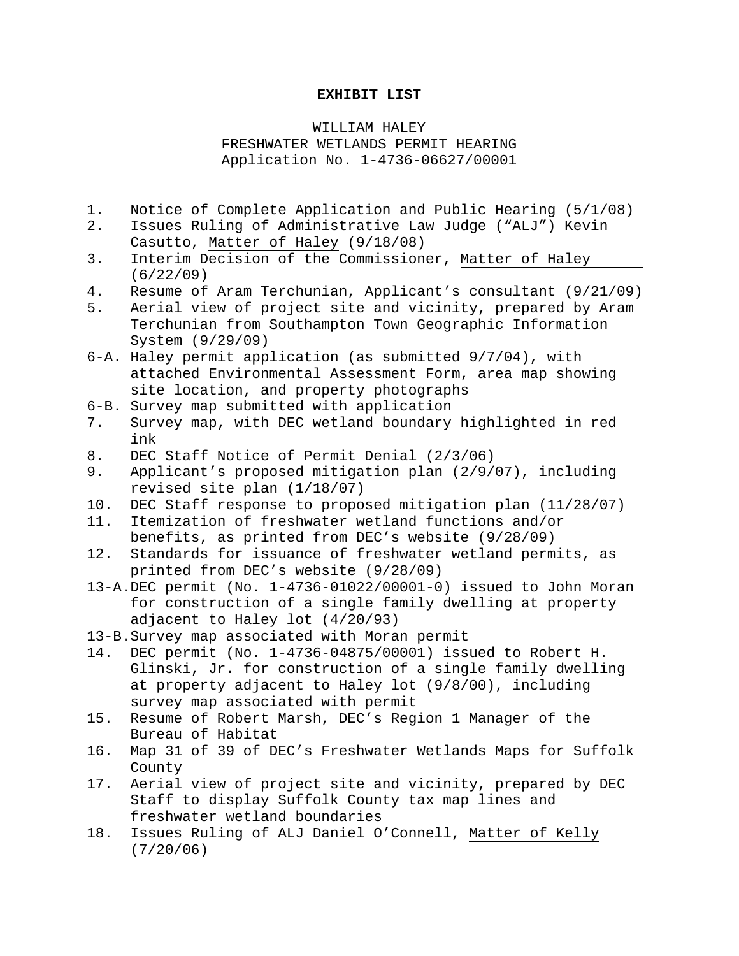#### **EXHIBIT LIST**

WILLIAM HALEY FRESHWATER WETLANDS PERMIT HEARING Application No. 1-4736-06627/00001

- 1. Notice of Complete Application and Public Hearing (5/1/08)
- 2. Issues Ruling of Administrative Law Judge ("ALJ") Kevin Casutto, Matter of Haley (9/18/08)
- 3. Interim Decision of the Commissioner, Matter of Haley (6/22/09)
- 4. Resume of Aram Terchunian, Applicant's consultant (9/21/09)
- 5. Aerial view of project site and vicinity, prepared by Aram Terchunian from Southampton Town Geographic Information System (9/29/09)
- 6-A. Haley permit application (as submitted 9/7/04), with attached Environmental Assessment Form, area map showing site location, and property photographs
- 6-B. Survey map submitted with application
- 7. Survey map, with DEC wetland boundary highlighted in red ink
- 8. DEC Staff Notice of Permit Denial (2/3/06)
- 9. Applicant's proposed mitigation plan (2/9/07), including revised site plan (1/18/07)
- 10. DEC Staff response to proposed mitigation plan (11/28/07)
- 11. Itemization of freshwater wetland functions and/or benefits, as printed from DEC's website (9/28/09)
- 12. Standards for issuance of freshwater wetland permits, as printed from DEC's website (9/28/09)
- 13-A.DEC permit (No. 1-4736-01022/00001-0) issued to John Moran for construction of a single family dwelling at property adjacent to Haley lot (4/20/93)
- 13-B.Survey map associated with Moran permit
- 14. DEC permit (No. 1-4736-04875/00001) issued to Robert H. Glinski, Jr. for construction of a single family dwelling at property adjacent to Haley lot (9/8/00), including survey map associated with permit
- 15. Resume of Robert Marsh, DEC's Region 1 Manager of the Bureau of Habitat
- 16. Map 31 of 39 of DEC's Freshwater Wetlands Maps for Suffolk County
- 17. Aerial view of project site and vicinity, prepared by DEC Staff to display Suffolk County tax map lines and freshwater wetland boundaries
- 18. Issues Ruling of ALJ Daniel O'Connell, Matter of Kelly (7/20/06)